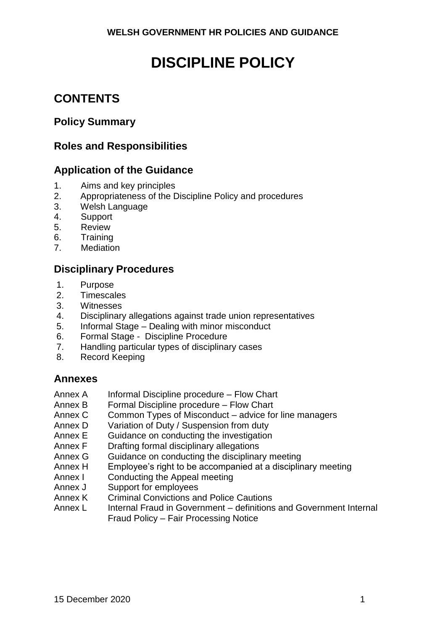# **DISCIPLINE POLICY**

# **CONTENTS**

# **Policy Summary**

# **Roles and Responsibilities**

# **Application of the Guidance**

- 1. Aims and key principles
- 2. Appropriateness of the Discipline Policy and procedures
- 3. Welsh Language
- 4. Support
- 5. Review
- 6. Training
- 7. Mediation

# **Disciplinary Procedures**

- 1. Purpose
- 2. Timescales
- 3. Witnesses
- 4. Disciplinary allegations against trade union representatives
- 5. Informal Stage Dealing with minor misconduct
- 6. Formal Stage Discipline Procedure
- 7. Handling particular types of disciplinary cases
- 8. Record Keeping

# **Annexes**

- Annex A Informal Discipline procedure Flow Chart
- Annex B Formal Discipline procedure Flow Chart
- Annex C Common Types of Misconduct advice for line managers
- Annex D Variation of Duty / Suspension from duty
- Annex E Guidance on conducting the investigation
- Annex F Drafting formal disciplinary allegations
- Annex G Guidance on conducting the disciplinary meeting
- Annex H Employee's right to be accompanied at a disciplinary meeting
- Annex I Conducting the Appeal meeting
- Annex J Support for employees
- Annex K Criminal Convictions and Police Cautions
- Annex L Internal Fraud in Government definitions and Government Internal Fraud Policy – Fair Processing Notice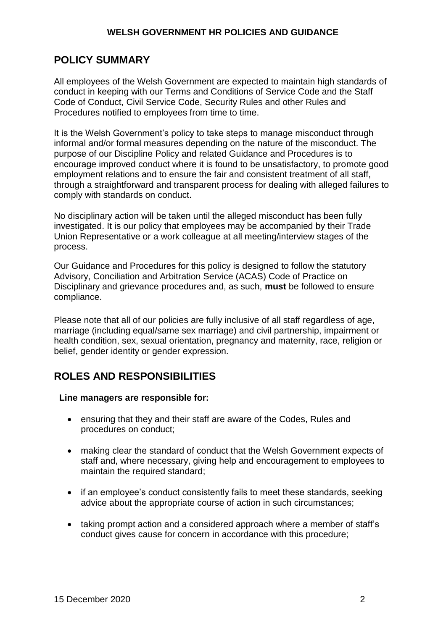# **POLICY SUMMARY**

All employees of the Welsh Government are expected to maintain high standards of conduct in keeping with our Terms and Conditions of Service Code and the Staff Code of Conduct, Civil Service Code, Security Rules and other Rules and Procedures notified to employees from time to time.

It is the Welsh Government's policy to take steps to manage misconduct through informal and/or formal measures depending on the nature of the misconduct. The purpose of our Discipline Policy and related Guidance and Procedures is to encourage improved conduct where it is found to be unsatisfactory, to promote good employment relations and to ensure the fair and consistent treatment of all staff, through a straightforward and transparent process for dealing with alleged failures to comply with standards on conduct.

No disciplinary action will be taken until the alleged misconduct has been fully investigated. It is our policy that employees may be accompanied by their Trade Union Representative or a work colleague at all meeting/interview stages of the process.

Our Guidance and Procedures for this policy is designed to follow the statutory Advisory, Conciliation and Arbitration Service (ACAS) Code of Practice on Disciplinary and grievance procedures and, as such, **must** be followed to ensure compliance.

Please note that all of our policies are fully inclusive of all staff regardless of age, marriage (including equal/same sex marriage) and civil partnership, impairment or health condition, sex, sexual orientation, pregnancy and maternity, race, religion or belief, gender identity or gender expression.

# **ROLES AND RESPONSIBILITIES**

#### **Line managers are responsible for:**

- ensuring that they and their staff are aware of the Codes, Rules and procedures on conduct;
- making clear the standard of conduct that the Welsh Government expects of staff and, where necessary, giving help and encouragement to employees to maintain the required standard;
- if an employee's conduct consistently fails to meet these standards, seeking advice about the appropriate course of action in such circumstances;
- taking prompt action and a considered approach where a member of staff's conduct gives cause for concern in accordance with this procedure;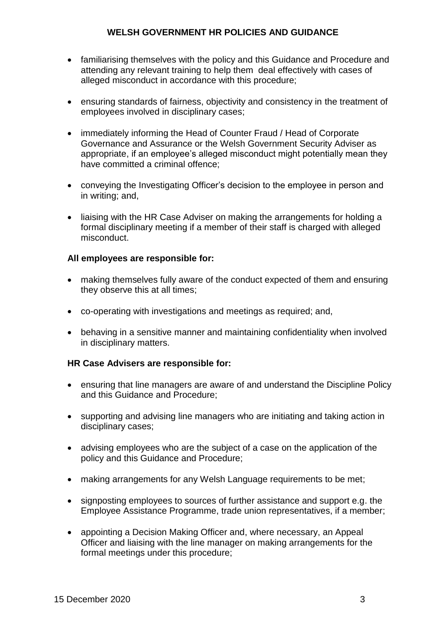- familiarising themselves with the policy and this Guidance and Procedure and attending any relevant training to help them deal effectively with cases of alleged misconduct in accordance with this procedure;
- ensuring standards of fairness, objectivity and consistency in the treatment of employees involved in disciplinary cases;
- immediately informing the Head of Counter Fraud / Head of Corporate Governance and Assurance or the Welsh Government Security Adviser as appropriate, if an employee's alleged misconduct might potentially mean they have committed a criminal offence;
- conveying the Investigating Officer's decision to the employee in person and in writing; and,
- liaising with the HR Case Adviser on making the arrangements for holding a formal disciplinary meeting if a member of their staff is charged with alleged misconduct.

# **All employees are responsible for:**

- making themselves fully aware of the conduct expected of them and ensuring they observe this at all times;
- co-operating with investigations and meetings as required; and,
- behaving in a sensitive manner and maintaining confidentiality when involved in disciplinary matters.

#### **HR Case Advisers are responsible for:**

- ensuring that line managers are aware of and understand the Discipline Policy and this Guidance and Procedure;
- supporting and advising line managers who are initiating and taking action in disciplinary cases;
- advising employees who are the subject of a case on the application of the policy and this Guidance and Procedure;
- making arrangements for any Welsh Language requirements to be met;
- signposting employees to sources of further assistance and support e.g. the Employee Assistance Programme, trade union representatives, if a member;
- appointing a Decision Making Officer and, where necessary, an Appeal Officer and liaising with the line manager on making arrangements for the formal meetings under this procedure;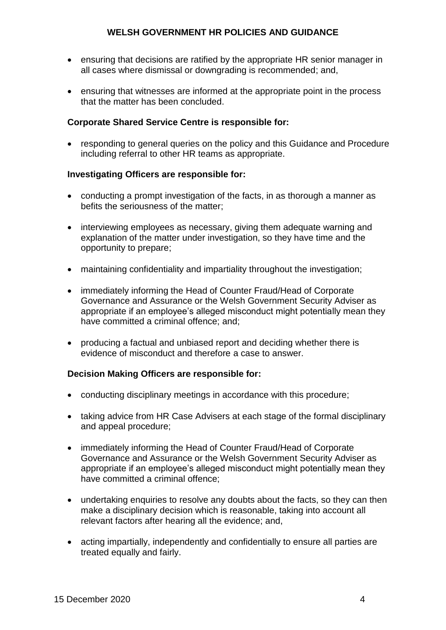- ensuring that decisions are ratified by the appropriate HR senior manager in all cases where dismissal or downgrading is recommended; and,
- ensuring that witnesses are informed at the appropriate point in the process that the matter has been concluded.

### **Corporate Shared Service Centre is responsible for:**

 responding to general queries on the policy and this Guidance and Procedure including referral to other HR teams as appropriate.

#### **Investigating Officers are responsible for:**

- conducting a prompt investigation of the facts, in as thorough a manner as befits the seriousness of the matter;
- interviewing employees as necessary, giving them adequate warning and explanation of the matter under investigation, so they have time and the opportunity to prepare;
- maintaining confidentiality and impartiality throughout the investigation;
- immediately informing the Head of Counter Fraud/Head of Corporate Governance and Assurance or the Welsh Government Security Adviser as appropriate if an employee's alleged misconduct might potentially mean they have committed a criminal offence; and;
- producing a factual and unbiased report and deciding whether there is evidence of misconduct and therefore a case to answer.

#### **Decision Making Officers are responsible for:**

- conducting disciplinary meetings in accordance with this procedure;
- taking advice from HR Case Advisers at each stage of the formal disciplinary and appeal procedure;
- immediately informing the Head of Counter Fraud/Head of Corporate Governance and Assurance or the Welsh Government Security Adviser as appropriate if an employee's alleged misconduct might potentially mean they have committed a criminal offence;
- undertaking enquiries to resolve any doubts about the facts, so they can then make a disciplinary decision which is reasonable, taking into account all relevant factors after hearing all the evidence; and,
- acting impartially, independently and confidentially to ensure all parties are treated equally and fairly.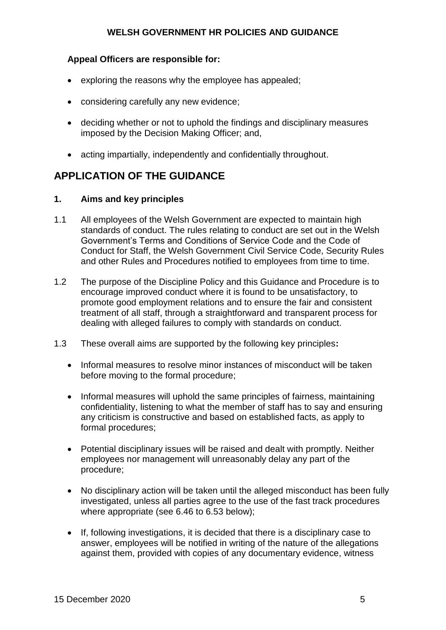#### **Appeal Officers are responsible for:**

- exploring the reasons why the employee has appealed;
- considering carefully any new evidence;
- deciding whether or not to uphold the findings and disciplinary measures imposed by the Decision Making Officer; and,
- acting impartially, independently and confidentially throughout.

# **APPLICATION OF THE GUIDANCE**

# **1. Aims and key principles**

- 1.1 All employees of the Welsh Government are expected to maintain high standards of conduct. The rules relating to conduct are set out in the Welsh Government's Terms and Conditions of Service Code and the Code of Conduct for Staff, the Welsh Government Civil Service Code, Security Rules and other Rules and Procedures notified to employees from time to time.
- 1.2 The purpose of the Discipline Policy and this Guidance and Procedure is to encourage improved conduct where it is found to be unsatisfactory, to promote good employment relations and to ensure the fair and consistent treatment of all staff, through a straightforward and transparent process for dealing with alleged failures to comply with standards on conduct.
- 1.3 These overall aims are supported by the following key principles**:**
	- Informal measures to resolve minor instances of misconduct will be taken before moving to the formal procedure;
	- Informal measures will uphold the same principles of fairness, maintaining confidentiality, listening to what the member of staff has to say and ensuring any criticism is constructive and based on established facts, as apply to formal procedures;
	- Potential disciplinary issues will be raised and dealt with promptly. Neither employees nor management will unreasonably delay any part of the procedure;
	- No disciplinary action will be taken until the alleged misconduct has been fully investigated, unless all parties agree to the use of the fast track procedures where appropriate (see 6.46 to 6.53 below);
	- If, following investigations, it is decided that there is a disciplinary case to answer, employees will be notified in writing of the nature of the allegations against them, provided with copies of any documentary evidence, witness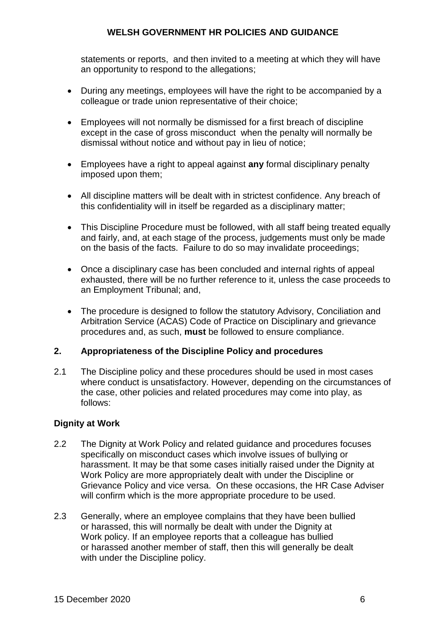statements or reports, and then invited to a meeting at which they will have an opportunity to respond to the allegations;

- During any meetings, employees will have the right to be accompanied by a colleague or trade union representative of their choice;
- Employees will not normally be dismissed for a first breach of discipline except in the case of gross misconduct when the penalty will normally be dismissal without notice and without pay in lieu of notice;
- Employees have a right to appeal against **any** formal disciplinary penalty imposed upon them;
- All discipline matters will be dealt with in strictest confidence. Any breach of this confidentiality will in itself be regarded as a disciplinary matter;
- This Discipline Procedure must be followed, with all staff being treated equally and fairly, and, at each stage of the process, judgements must only be made on the basis of the facts. Failure to do so may invalidate proceedings;
- Once a disciplinary case has been concluded and internal rights of appeal exhausted, there will be no further reference to it, unless the case proceeds to an Employment Tribunal; and,
- The procedure is designed to follow the statutory Advisory, Conciliation and Arbitration Service (ACAS) Code of Practice on Disciplinary and grievance procedures and, as such, **must** be followed to ensure compliance.

#### **2. Appropriateness of the Discipline Policy and procedures**

2.1 The Discipline policy and these procedures should be used in most cases where conduct is unsatisfactory. However, depending on the circumstances of the case, other policies and related procedures may come into play, as follows:

# **Dignity at Work**

- 2.2 The Dignity at Work Policy and related guidance and procedures focuses specifically on misconduct cases which involve issues of bullying or harassment. It may be that some cases initially raised under the Dignity at Work Policy are more appropriately dealt with under the Discipline or Grievance Policy and vice versa. On these occasions, the HR Case Adviser will confirm which is the more appropriate procedure to be used.
- 2.3 Generally, where an employee complains that they have been bullied or harassed, this will normally be dealt with under the Dignity at Work policy. If an employee reports that a colleague has bullied or harassed another member of staff, then this will generally be dealt with under the Discipline policy.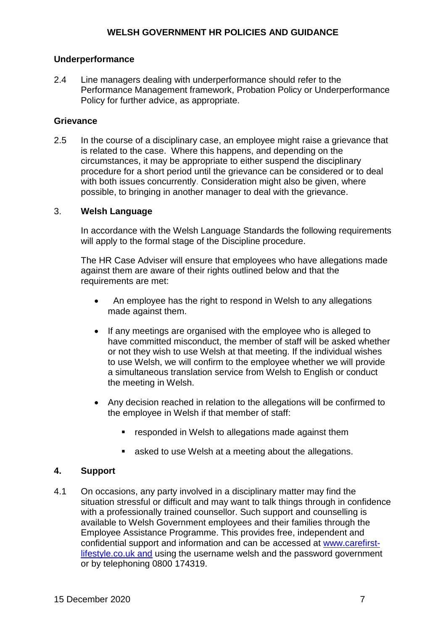#### **Underperformance**

2.4 Line managers dealing with underperformance should refer to the Performance Management framework, Probation Policy or Underperformance Policy for further advice, as appropriate.

# **Grievance**

2.5 In the course of a disciplinary case, an employee might raise a grievance that is related to the case. Where this happens, and depending on the circumstances, it may be appropriate to either suspend the disciplinary procedure for a short period until the grievance can be considered or to deal with both issues concurrently. Consideration might also be given, where possible, to bringing in another manager to deal with the grievance.

# 3. **Welsh Language**

In accordance with the Welsh Language Standards the following requirements will apply to the formal stage of the Discipline procedure.

The HR Case Adviser will ensure that employees who have allegations made against them are aware of their rights outlined below and that the requirements are met:

- An employee has the right to respond in Welsh to any allegations made against them.
- If any meetings are organised with the employee who is alleged to have committed misconduct, the member of staff will be asked whether or not they wish to use Welsh at that meeting. If the individual wishes to use Welsh, we will confirm to the employee whether we will provide a simultaneous translation service from Welsh to English or conduct the meeting in Welsh.
- Any decision reached in relation to the allegations will be confirmed to the employee in Welsh if that member of staff:
	- **F** responded in Welsh to allegations made against them
	- asked to use Welsh at a meeting about the allegations.

#### **4. Support**

4.1 On occasions, any party involved in a disciplinary matter may find the situation stressful or difficult and may want to talk things through in confidence with a professionally trained counsellor. Such support and counselling is available to Welsh Government employees and their families through the Employee Assistance Programme. This provides free, independent and confidential support and information and can be accessed at www.carefirstlifestyle.co.uk and using the username welsh and the password government or by telephoning 0800 174319.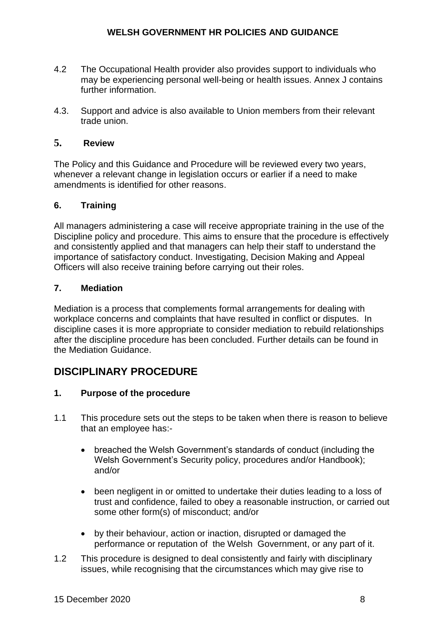- 4.2 The Occupational Health provider also provides support to individuals who may be experiencing personal well-being or health issues. Annex J contains further information.
- 4.3. Support and advice is also available to Union members from their relevant trade union.

# **5. Review**

The Policy and this Guidance and Procedure will be reviewed every two years, whenever a relevant change in legislation occurs or earlier if a need to make amendments is identified for other reasons.

# **6. Training**

All managers administering a case will receive appropriate training in the use of the Discipline policy and procedure. This aims to ensure that the procedure is effectively and consistently applied and that managers can help their staff to understand the importance of satisfactory conduct. Investigating, Decision Making and Appeal Officers will also receive training before carrying out their roles.

# **7. Mediation**

Mediation is a process that complements formal arrangements for dealing with workplace concerns and complaints that have resulted in conflict or disputes. In discipline cases it is more appropriate to consider mediation to rebuild relationships after the discipline procedure has been concluded. Further details can be found in the Mediation Guidance.

# **DISCIPLINARY PROCEDURE**

# **1. Purpose of the procedure**

- 1.1 This procedure sets out the steps to be taken when there is reason to believe that an employee has:
	- breached the Welsh Government's standards of conduct (including the Welsh Government's Security policy, procedures and/or Handbook); and/or
	- been negligent in or omitted to undertake their duties leading to a loss of trust and confidence, failed to obey a reasonable instruction, or carried out some other form(s) of misconduct; and/or
	- by their behaviour, action or inaction, disrupted or damaged the performance or reputation of the Welsh Government, or any part of it.
- 1.2 This procedure is designed to deal consistently and fairly with disciplinary issues, while recognising that the circumstances which may give rise to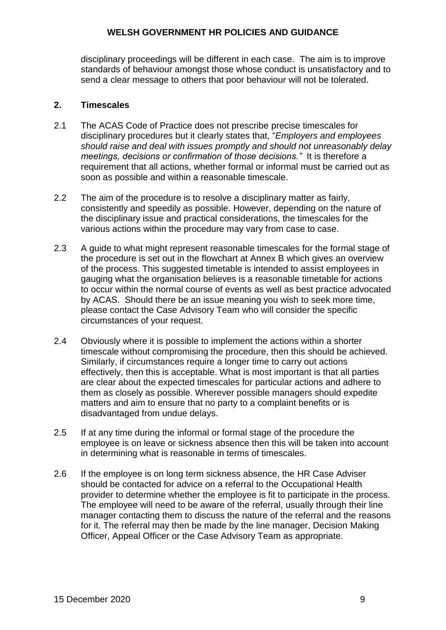disciplinary proceedings will be different in each case. The aim is to improve standards of behaviour amongst those whose conduct is unsatisfactory and to send a clear message to others that poor behaviour will not be tolerated.

### **2. Timescales**

- 2.1 The ACAS Code of Practice does not prescribe precise timescales for disciplinary procedures but it clearly states that, "*Employers and employees should raise and deal with issues promptly and should not unreasonably delay meetings, decisions or confirmation of those decisions."* It is therefore a requirement that all actions, whether formal or informal must be carried out as soon as possible and within a reasonable timescale.
- 2.2 The aim of the procedure is to resolve a disciplinary matter as fairly, consistently and speedily as possible. However, depending on the nature of the disciplinary issue and practical considerations, the timescales for the various actions within the procedure may vary from case to case.
- 2.3 A guide to what might represent reasonable timescales for the formal stage of the procedure is set out in the flowchart at Annex B which gives an overview of the process. This suggested timetable is intended to assist employees in gauging what the organisation believes is a reasonable timetable for actions to occur within the normal course of events as well as best practice advocated by ACAS. Should there be an issue meaning you wish to seek more time, please contact the Case Advisory Team who will consider the specific circumstances of your request.
- 2.4 Obviously where it is possible to implement the actions within a shorter timescale without compromising the procedure, then this should be achieved. Similarly, if circumstances require a longer time to carry out actions effectively, then this is acceptable. What is most important is that all parties are clear about the expected timescales for particular actions and adhere to them as closely as possible. Wherever possible managers should expedite matters and aim to ensure that no party to a complaint benefits or is disadvantaged from undue delays.
- 2.5 If at any time during the informal or formal stage of the procedure the employee is on leave or sickness absence then this will be taken into account in determining what is reasonable in terms of timescales.
- 2.6 If the employee is on long term sickness absence, the HR Case Adviser should be contacted for advice on a referral to the Occupational Health provider to determine whether the employee is fit to participate in the process. The employee will need to be aware of the referral, usually through their line manager contacting them to discuss the nature of the referral and the reasons for it. The referral may then be made by the line manager, Decision Making Officer, Appeal Officer or the Case Advisory Team as appropriate.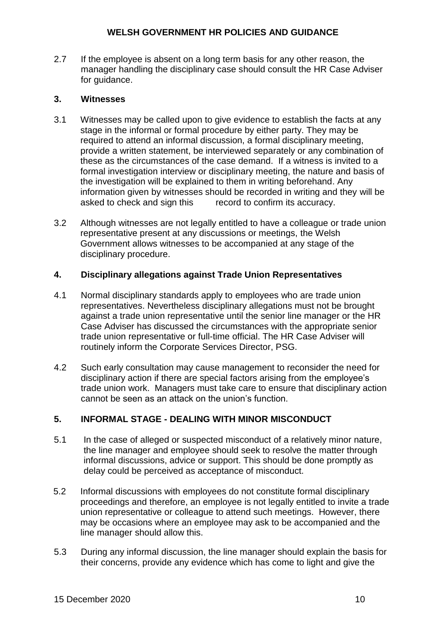2.7 If the employee is absent on a long term basis for any other reason, the manager handling the disciplinary case should consult the HR Case Adviser for guidance.

# **3. Witnesses**

- 3.1 Witnesses may be called upon to give evidence to establish the facts at any stage in the informal or formal procedure by either party. They may be required to attend an informal discussion, a formal disciplinary meeting, provide a written statement, be interviewed separately or any combination of these as the circumstances of the case demand. If a witness is invited to a formal investigation interview or disciplinary meeting, the nature and basis of the investigation will be explained to them in writing beforehand. Any information given by witnesses should be recorded in writing and they will be asked to check and sign this record to confirm its accuracy.
- 3.2 Although witnesses are not legally entitled to have a colleague or trade union representative present at any discussions or meetings, the Welsh Government allows witnesses to be accompanied at any stage of the disciplinary procedure.

# **4. Disciplinary allegations against Trade Union Representatives**

- 4.1 Normal disciplinary standards apply to employees who are trade union representatives. Nevertheless disciplinary allegations must not be brought against a trade union representative until the senior line manager or the HR Case Adviser has discussed the circumstances with the appropriate senior trade union representative or full-time official. The HR Case Adviser will routinely inform the Corporate Services Director, PSG.
- 4.2 Such early consultation may cause management to reconsider the need for disciplinary action if there are special factors arising from the employee's trade union work. Managers must take care to ensure that disciplinary action cannot be seen as an attack on the union's function.

# **5. INFORMAL STAGE - DEALING WITH MINOR MISCONDUCT**

- 5.1 In the case of alleged or suspected misconduct of a relatively minor nature, the line manager and employee should seek to resolve the matter through informal discussions, advice or support. This should be done promptly as delay could be perceived as acceptance of misconduct.
- 5.2 Informal discussions with employees do not constitute formal disciplinary proceedings and therefore, an employee is not legally entitled to invite a trade union representative or colleague to attend such meetings. However, there may be occasions where an employee may ask to be accompanied and the line manager should allow this.
- 5.3 During any informal discussion, the line manager should explain the basis for their concerns, provide any evidence which has come to light and give the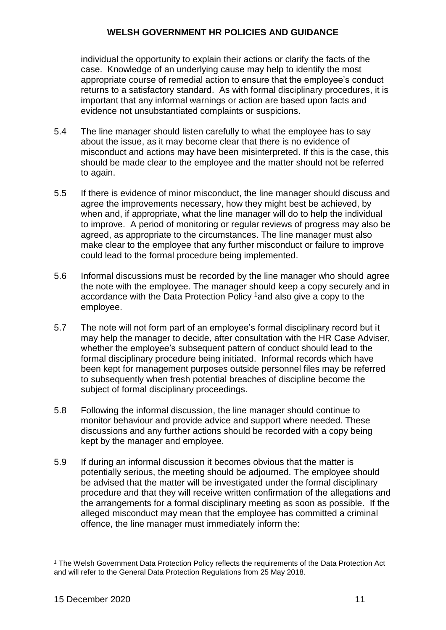individual the opportunity to explain their actions or clarify the facts of the case. Knowledge of an underlying cause may help to identify the most appropriate course of remedial action to ensure that the employee's conduct returns to a satisfactory standard. As with formal disciplinary procedures, it is important that any informal warnings or action are based upon facts and evidence not unsubstantiated complaints or suspicions.

- 5.4 The line manager should listen carefully to what the employee has to say about the issue, as it may become clear that there is no evidence of misconduct and actions may have been misinterpreted. If this is the case, this should be made clear to the employee and the matter should not be referred to again.
- 5.5 If there is evidence of minor misconduct, the line manager should discuss and agree the improvements necessary, how they might best be achieved, by when and, if appropriate, what the line manager will do to help the individual to improve. A period of monitoring or regular reviews of progress may also be agreed, as appropriate to the circumstances. The line manager must also make clear to the employee that any further misconduct or failure to improve could lead to the formal procedure being implemented.
- 5.6 Informal discussions must be recorded by the line manager who should agree the note with the employee. The manager should keep a copy securely and in accordance with the Data Protection Policy <sup>1</sup>and also give a copy to the employee.
- 5.7 The note will not form part of an employee's formal disciplinary record but it may help the manager to decide, after consultation with the HR Case Adviser, whether the employee's subsequent pattern of conduct should lead to the formal disciplinary procedure being initiated. Informal records which have been kept for management purposes outside personnel files may be referred to subsequently when fresh potential breaches of discipline become the subject of formal disciplinary proceedings.
- 5.8 Following the informal discussion, the line manager should continue to monitor behaviour and provide advice and support where needed. These discussions and any further actions should be recorded with a copy being kept by the manager and employee.
- 5.9 If during an informal discussion it becomes obvious that the matter is potentially serious, the meeting should be adjourned. The employee should be advised that the matter will be investigated under the formal disciplinary procedure and that they will receive written confirmation of the allegations and the arrangements for a formal disciplinary meeting as soon as possible. If the alleged misconduct may mean that the employee has committed a criminal offence, the line manager must immediately inform the:

<u>.</u>

<sup>1</sup> The Welsh Government Data Protection Policy reflects the requirements of the Data Protection Act and will refer to the General Data Protection Regulations from 25 May 2018.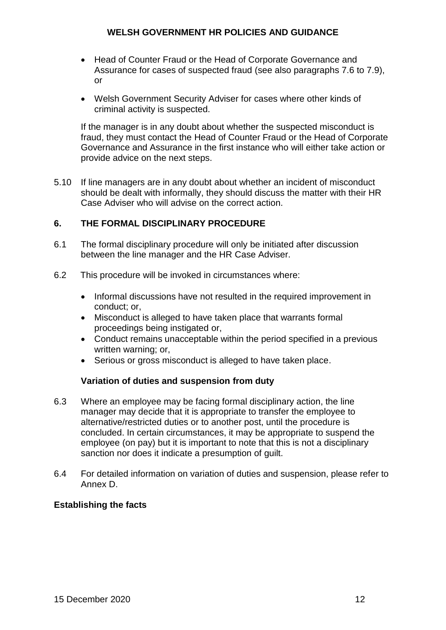- Head of Counter Fraud or the Head of Corporate Governance and Assurance for cases of suspected fraud (see also paragraphs 7.6 to 7.9), or
- Welsh Government Security Adviser for cases where other kinds of criminal activity is suspected.

If the manager is in any doubt about whether the suspected misconduct is fraud, they must contact the Head of Counter Fraud or the Head of Corporate Governance and Assurance in the first instance who will either take action or provide advice on the next steps.

5.10 If line managers are in any doubt about whether an incident of misconduct should be dealt with informally, they should discuss the matter with their HR Case Adviser who will advise on the correct action.

# **6. THE FORMAL DISCIPLINARY PROCEDURE**

- 6.1 The formal disciplinary procedure will only be initiated after discussion between the line manager and the HR Case Adviser.
- 6.2 This procedure will be invoked in circumstances where:
	- Informal discussions have not resulted in the required improvement in conduct; or,
	- Misconduct is alleged to have taken place that warrants formal proceedings being instigated or,
	- Conduct remains unacceptable within the period specified in a previous written warning; or,
	- Serious or gross misconduct is alleged to have taken place.

#### **Variation of duties and suspension from duty**

- 6.3 Where an employee may be facing formal disciplinary action, the line manager may decide that it is appropriate to transfer the employee to alternative/restricted duties or to another post, until the procedure is concluded. In certain circumstances, it may be appropriate to suspend the employee (on pay) but it is important to note that this is not a disciplinary sanction nor does it indicate a presumption of guilt.
- 6.4 For detailed information on variation of duties and suspension, please refer to Annex D.

#### **Establishing the facts**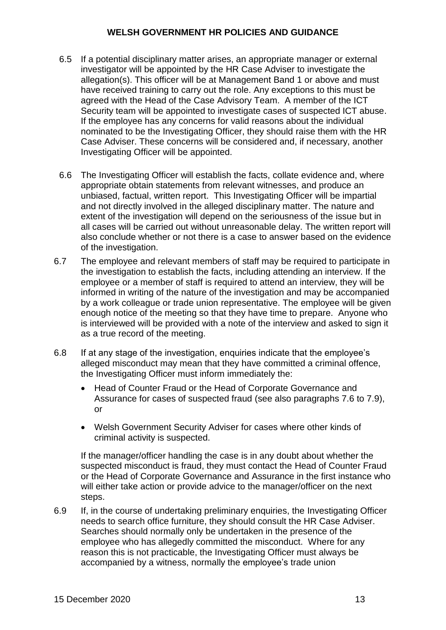- 6.5 If a potential disciplinary matter arises, an appropriate manager or external investigator will be appointed by the HR Case Adviser to investigate the allegation(s). This officer will be at Management Band 1 or above and must have received training to carry out the role. Any exceptions to this must be agreed with the Head of the Case Advisory Team. A member of the ICT Security team will be appointed to investigate cases of suspected ICT abuse. If the employee has any concerns for valid reasons about the individual nominated to be the Investigating Officer, they should raise them with the HR Case Adviser. These concerns will be considered and, if necessary, another Investigating Officer will be appointed.
- 6.6 The Investigating Officer will establish the facts, collate evidence and, where appropriate obtain statements from relevant witnesses, and produce an unbiased, factual, written report. This Investigating Officer will be impartial and not directly involved in the alleged disciplinary matter. The nature and extent of the investigation will depend on the seriousness of the issue but in all cases will be carried out without unreasonable delay. The written report will also conclude whether or not there is a case to answer based on the evidence of the investigation.
- 6.7 The employee and relevant members of staff may be required to participate in the investigation to establish the facts, including attending an interview. If the employee or a member of staff is required to attend an interview, they will be informed in writing of the nature of the investigation and may be accompanied by a work colleague or trade union representative. The employee will be given enough notice of the meeting so that they have time to prepare. Anyone who is interviewed will be provided with a note of the interview and asked to sign it as a true record of the meeting.
- 6.8 If at any stage of the investigation, enquiries indicate that the employee's alleged misconduct may mean that they have committed a criminal offence, the Investigating Officer must inform immediately the:
	- Head of Counter Fraud or the Head of Corporate Governance and Assurance for cases of suspected fraud (see also paragraphs 7.6 to 7.9), or
	- Welsh Government Security Adviser for cases where other kinds of criminal activity is suspected.

If the manager/officer handling the case is in any doubt about whether the suspected misconduct is fraud, they must contact the Head of Counter Fraud or the Head of Corporate Governance and Assurance in the first instance who will either take action or provide advice to the manager/officer on the next steps.

6.9 If, in the course of undertaking preliminary enquiries, the Investigating Officer needs to search office furniture, they should consult the HR Case Adviser. Searches should normally only be undertaken in the presence of the employee who has allegedly committed the misconduct. Where for any reason this is not practicable, the Investigating Officer must always be accompanied by a witness, normally the employee's trade union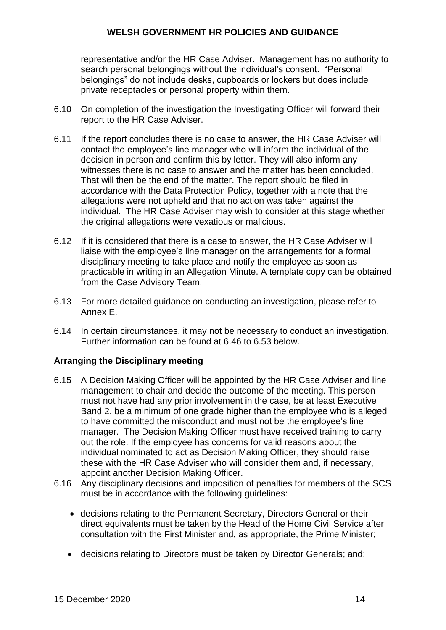representative and/or the HR Case Adviser. Management has no authority to search personal belongings without the individual's consent. "Personal belongings" do not include desks, cupboards or lockers but does include private receptacles or personal property within them.

- 6.10 On completion of the investigation the Investigating Officer will forward their report to the HR Case Adviser.
- 6.11 If the report concludes there is no case to answer, the HR Case Adviser will contact the employee's line manager who will inform the individual of the decision in person and confirm this by letter. They will also inform any witnesses there is no case to answer and the matter has been concluded. That will then be the end of the matter. The report should be filed in accordance with the Data Protection Policy, together with a note that the allegations were not upheld and that no action was taken against the individual. The HR Case Adviser may wish to consider at this stage whether the original allegations were vexatious or malicious.
- 6.12 If it is considered that there is a case to answer, the HR Case Adviser will liaise with the employee's line manager on the arrangements for a formal disciplinary meeting to take place and notify the employee as soon as practicable in writing in an Allegation Minute. A template copy can be obtained from the Case Advisory Team.
- 6.13 For more detailed guidance on conducting an investigation, please refer to Annex E.
- 6.14 In certain circumstances, it may not be necessary to conduct an investigation. Further information can be found at 6.46 to 6.53 below.

# **Arranging the Disciplinary meeting**

- 6.15 A Decision Making Officer will be appointed by the HR Case Adviser and line management to chair and decide the outcome of the meeting. This person must not have had any prior involvement in the case, be at least Executive Band 2, be a minimum of one grade higher than the employee who is alleged to have committed the misconduct and must not be the employee's line manager. The Decision Making Officer must have received training to carry out the role. If the employee has concerns for valid reasons about the individual nominated to act as Decision Making Officer, they should raise these with the HR Case Adviser who will consider them and, if necessary, appoint another Decision Making Officer.
- 6.16 Any disciplinary decisions and imposition of penalties for members of the SCS must be in accordance with the following guidelines:
	- decisions relating to the Permanent Secretary, Directors General or their direct equivalents must be taken by the Head of the Home Civil Service after consultation with the First Minister and, as appropriate, the Prime Minister;
	- decisions relating to Directors must be taken by Director Generals; and;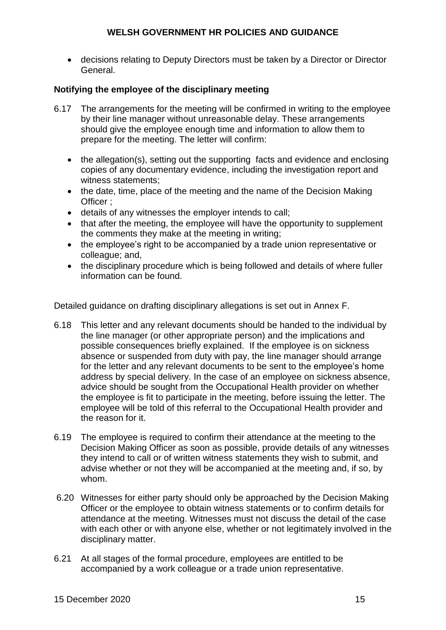decisions relating to Deputy Directors must be taken by a Director or Director General.

# **Notifying the employee of the disciplinary meeting**

- 6.17 The arrangements for the meeting will be confirmed in writing to the employee by their line manager without unreasonable delay. These arrangements should give the employee enough time and information to allow them to prepare for the meeting. The letter will confirm:
	- the allegation(s), setting out the supporting facts and evidence and enclosing copies of any documentary evidence, including the investigation report and witness statements;
	- the date, time, place of the meeting and the name of the Decision Making Officer ;
	- details of any witnesses the employer intends to call;
	- that after the meeting, the employee will have the opportunity to supplement the comments they make at the meeting in writing;
	- the employee's right to be accompanied by a trade union representative or colleague; and,
	- the disciplinary procedure which is being followed and details of where fuller information can be found.

Detailed guidance on drafting disciplinary allegations is set out in Annex F.

- 6.18 This letter and any relevant documents should be handed to the individual by the line manager (or other appropriate person) and the implications and possible consequences briefly explained. If the employee is on sickness absence or suspended from duty with pay, the line manager should arrange for the letter and any relevant documents to be sent to the employee's home address by special delivery. In the case of an employee on sickness absence, advice should be sought from the Occupational Health provider on whether the employee is fit to participate in the meeting, before issuing the letter. The employee will be told of this referral to the Occupational Health provider and the reason for it.
- 6.19 The employee is required to confirm their attendance at the meeting to the Decision Making Officer as soon as possible, provide details of any witnesses they intend to call or of written witness statements they wish to submit, and advise whether or not they will be accompanied at the meeting and, if so, by whom.
- 6.20 Witnesses for either party should only be approached by the Decision Making Officer or the employee to obtain witness statements or to confirm details for attendance at the meeting. Witnesses must not discuss the detail of the case with each other or with anyone else, whether or not legitimately involved in the disciplinary matter.
- 6.21 At all stages of the formal procedure, employees are entitled to be accompanied by a work colleague or a trade union representative.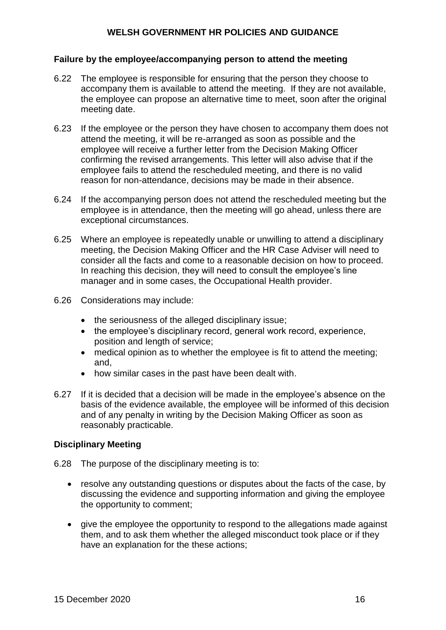#### **Failure by the employee/accompanying person to attend the meeting**

- 6.22 The employee is responsible for ensuring that the person they choose to accompany them is available to attend the meeting. If they are not available, the employee can propose an alternative time to meet, soon after the original meeting date.
- 6.23 If the employee or the person they have chosen to accompany them does not attend the meeting, it will be re-arranged as soon as possible and the employee will receive a further letter from the Decision Making Officer confirming the revised arrangements. This letter will also advise that if the employee fails to attend the rescheduled meeting, and there is no valid reason for non-attendance, decisions may be made in their absence.
- 6.24 If the accompanying person does not attend the rescheduled meeting but the employee is in attendance, then the meeting will go ahead, unless there are exceptional circumstances.
- 6.25 Where an employee is repeatedly unable or unwilling to attend a disciplinary meeting, the Decision Making Officer and the HR Case Adviser will need to consider all the facts and come to a reasonable decision on how to proceed. In reaching this decision, they will need to consult the employee's line manager and in some cases, the Occupational Health provider.
- 6.26 Considerations may include:
	- the seriousness of the alleged disciplinary issue;
	- the employee's disciplinary record, general work record, experience, position and length of service;
	- medical opinion as to whether the employee is fit to attend the meeting; and,
	- how similar cases in the past have been dealt with.
- 6.27 If it is decided that a decision will be made in the employee's absence on the basis of the evidence available, the employee will be informed of this decision and of any penalty in writing by the Decision Making Officer as soon as reasonably practicable.

#### **Disciplinary Meeting**

6.28 The purpose of the disciplinary meeting is to:

- resolve any outstanding questions or disputes about the facts of the case, by discussing the evidence and supporting information and giving the employee the opportunity to comment;
- give the employee the opportunity to respond to the allegations made against them, and to ask them whether the alleged misconduct took place or if they have an explanation for the these actions;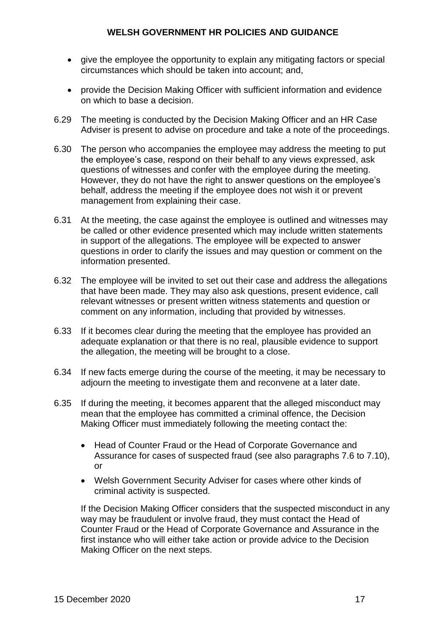- give the employee the opportunity to explain any mitigating factors or special circumstances which should be taken into account; and,
- provide the Decision Making Officer with sufficient information and evidence on which to base a decision.
- 6.29 The meeting is conducted by the Decision Making Officer and an HR Case Adviser is present to advise on procedure and take a note of the proceedings.
- 6.30 The person who accompanies the employee may address the meeting to put the employee's case, respond on their behalf to any views expressed, ask questions of witnesses and confer with the employee during the meeting. However, they do not have the right to answer questions on the employee's behalf, address the meeting if the employee does not wish it or prevent management from explaining their case.
- 6.31 At the meeting, the case against the employee is outlined and witnesses may be called or other evidence presented which may include written statements in support of the allegations. The employee will be expected to answer questions in order to clarify the issues and may question or comment on the information presented.
- 6.32 The employee will be invited to set out their case and address the allegations that have been made. They may also ask questions, present evidence, call relevant witnesses or present written witness statements and question or comment on any information, including that provided by witnesses.
- 6.33 If it becomes clear during the meeting that the employee has provided an adequate explanation or that there is no real, plausible evidence to support the allegation, the meeting will be brought to a close.
- 6.34 If new facts emerge during the course of the meeting, it may be necessary to adjourn the meeting to investigate them and reconvene at a later date.
- 6.35 If during the meeting, it becomes apparent that the alleged misconduct may mean that the employee has committed a criminal offence, the Decision Making Officer must immediately following the meeting contact the:
	- Head of Counter Fraud or the Head of Corporate Governance and Assurance for cases of suspected fraud (see also paragraphs 7.6 to 7.10), or
	- Welsh Government Security Adviser for cases where other kinds of criminal activity is suspected.

If the Decision Making Officer considers that the suspected misconduct in any way may be fraudulent or involve fraud, they must contact the Head of Counter Fraud or the Head of Corporate Governance and Assurance in the first instance who will either take action or provide advice to the Decision Making Officer on the next steps.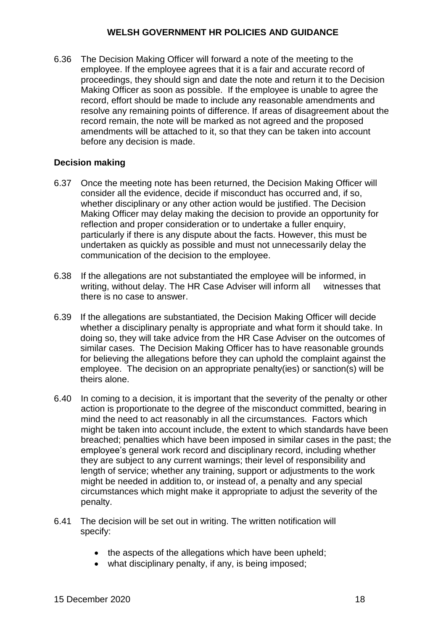6.36 The Decision Making Officer will forward a note of the meeting to the employee. If the employee agrees that it is a fair and accurate record of proceedings, they should sign and date the note and return it to the Decision Making Officer as soon as possible. If the employee is unable to agree the record, effort should be made to include any reasonable amendments and resolve any remaining points of difference. If areas of disagreement about the record remain, the note will be marked as not agreed and the proposed amendments will be attached to it, so that they can be taken into account before any decision is made.

# **Decision making**

- 6.37 Once the meeting note has been returned, the Decision Making Officer will consider all the evidence, decide if misconduct has occurred and, if so, whether disciplinary or any other action would be justified. The Decision Making Officer may delay making the decision to provide an opportunity for reflection and proper consideration or to undertake a fuller enquiry, particularly if there is any dispute about the facts. However, this must be undertaken as quickly as possible and must not unnecessarily delay the communication of the decision to the employee.
- 6.38 If the allegations are not substantiated the employee will be informed, in writing, without delay. The HR Case Adviser will inform all witnesses that there is no case to answer.
- 6.39 If the allegations are substantiated, the Decision Making Officer will decide whether a disciplinary penalty is appropriate and what form it should take. In doing so, they will take advice from the HR Case Adviser on the outcomes of similar cases. The Decision Making Officer has to have reasonable grounds for believing the allegations before they can uphold the complaint against the employee. The decision on an appropriate penalty(ies) or sanction(s) will be theirs alone.
- 6.40 In coming to a decision, it is important that the severity of the penalty or other action is proportionate to the degree of the misconduct committed, bearing in mind the need to act reasonably in all the circumstances. Factors which might be taken into account include, the extent to which standards have been breached; penalties which have been imposed in similar cases in the past; the employee's general work record and disciplinary record, including whether they are subject to any current warnings; their level of responsibility and length of service; whether any training, support or adjustments to the work might be needed in addition to, or instead of, a penalty and any special circumstances which might make it appropriate to adjust the severity of the penalty.
- 6.41 The decision will be set out in writing. The written notification will specify:
	- the aspects of the allegations which have been upheld;
	- what disciplinary penalty, if any, is being imposed;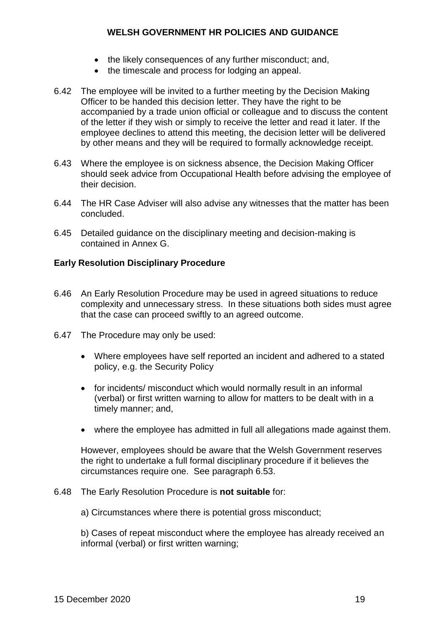- the likely consequences of any further misconduct; and,
- the timescale and process for lodging an appeal.
- 6.42 The employee will be invited to a further meeting by the Decision Making Officer to be handed this decision letter. They have the right to be accompanied by a trade union official or colleague and to discuss the content of the letter if they wish or simply to receive the letter and read it later. If the employee declines to attend this meeting, the decision letter will be delivered by other means and they will be required to formally acknowledge receipt.
- 6.43 Where the employee is on sickness absence, the Decision Making Officer should seek advice from Occupational Health before advising the employee of their decision.
- 6.44 The HR Case Adviser will also advise any witnesses that the matter has been concluded.
- 6.45 Detailed guidance on the disciplinary meeting and decision-making is contained in Annex G.

#### **Early Resolution Disciplinary Procedure**

- 6.46 An Early Resolution Procedure may be used in agreed situations to reduce complexity and unnecessary stress. In these situations both sides must agree that the case can proceed swiftly to an agreed outcome.
- 6.47 The Procedure may only be used:
	- Where employees have self reported an incident and adhered to a stated policy, e.g. the Security Policy
	- for incidents/ misconduct which would normally result in an informal (verbal) or first written warning to allow for matters to be dealt with in a timely manner; and,
	- where the employee has admitted in full all allegations made against them.

However, employees should be aware that the Welsh Government reserves the right to undertake a full formal disciplinary procedure if it believes the circumstances require one. See paragraph 6.53.

#### 6.48 The Early Resolution Procedure is **not suitable** for:

a) Circumstances where there is potential gross misconduct;

b) Cases of repeat misconduct where the employee has already received an informal (verbal) or first written warning;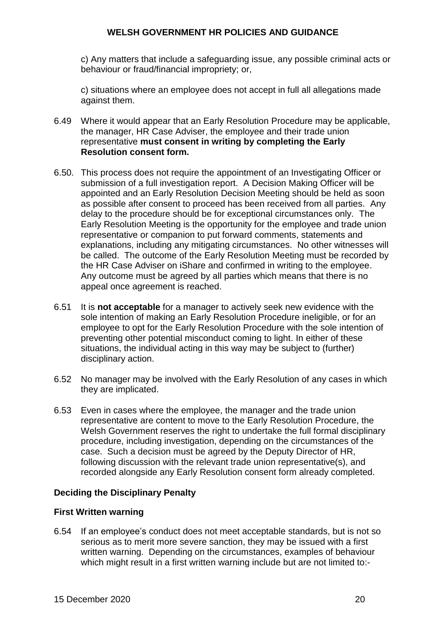c) Any matters that include a safeguarding issue, any possible criminal acts or behaviour or fraud/financial impropriety; or,

c) situations where an employee does not accept in full all allegations made against them.

- 6.49 Where it would appear that an Early Resolution Procedure may be applicable, the manager, HR Case Adviser, the employee and their trade union representative **must consent in writing by completing the Early Resolution consent form.**
- 6.50. This process does not require the appointment of an Investigating Officer or submission of a full investigation report. A Decision Making Officer will be appointed and an Early Resolution Decision Meeting should be held as soon as possible after consent to proceed has been received from all parties. Any delay to the procedure should be for exceptional circumstances only. The Early Resolution Meeting is the opportunity for the employee and trade union representative or companion to put forward comments, statements and explanations, including any mitigating circumstances. No other witnesses will be called. The outcome of the Early Resolution Meeting must be recorded by the HR Case Adviser on iShare and confirmed in writing to the employee. Any outcome must be agreed by all parties which means that there is no appeal once agreement is reached.
- 6.51 It is **not acceptable** for a manager to actively seek new evidence with the sole intention of making an Early Resolution Procedure ineligible, or for an employee to opt for the Early Resolution Procedure with the sole intention of preventing other potential misconduct coming to light. In either of these situations, the individual acting in this way may be subject to (further) disciplinary action.
- 6.52 No manager may be involved with the Early Resolution of any cases in which they are implicated.
- 6.53 Even in cases where the employee, the manager and the trade union representative are content to move to the Early Resolution Procedure, the Welsh Government reserves the right to undertake the full formal disciplinary procedure, including investigation, depending on the circumstances of the case. Such a decision must be agreed by the Deputy Director of HR, following discussion with the relevant trade union representative(s), and recorded alongside any Early Resolution consent form already completed.

# **Deciding the Disciplinary Penalty**

#### **First Written warning**

6.54 If an employee's conduct does not meet acceptable standards, but is not so serious as to merit more severe sanction, they may be issued with a first written warning. Depending on the circumstances, examples of behaviour which might result in a first written warning include but are not limited to:-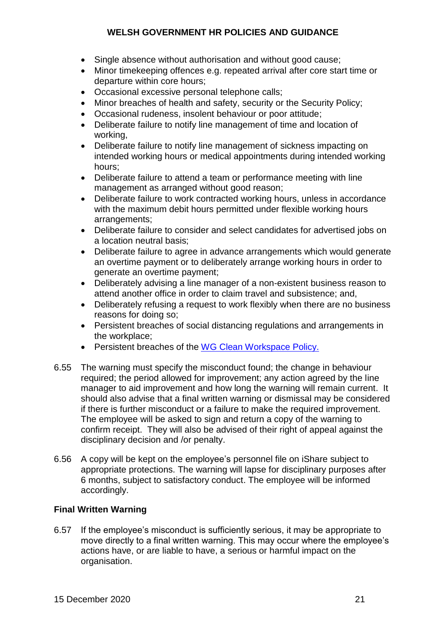- Single absence without authorisation and without good cause;
- Minor timekeeping offences e.g. repeated arrival after core start time or departure within core hours;
- Occasional excessive personal telephone calls;
- Minor breaches of health and safety, security or the Security Policy;
- Occasional rudeness, insolent behaviour or poor attitude;
- Deliberate failure to notify line management of time and location of working,
- Deliberate failure to notify line management of sickness impacting on intended working hours or medical appointments during intended working hours;
- Deliberate failure to attend a team or performance meeting with line management as arranged without good reason;
- Deliberate failure to work contracted working hours, unless in accordance with the maximum debit hours permitted under flexible working hours arrangements;
- Deliberate failure to consider and select candidates for advertised jobs on a location neutral basis;
- Deliberate failure to agree in advance arrangements which would generate an overtime payment or to deliberately arrange working hours in order to generate an overtime payment;
- Deliberately advising a line manager of a non-existent business reason to attend another office in order to claim travel and subsistence; and,
- Deliberately refusing a request to work flexibly when there are no business reasons for doing so;
- Persistent breaches of social distancing regulations and arrangements in the workplace;
- Persistent breaches of the WG Clean Workspace Policy.
- 6.55 The warning must specify the misconduct found; the change in behaviour required; the period allowed for improvement; any action agreed by the line manager to aid improvement and how long the warning will remain current. It should also advise that a final written warning or dismissal may be considered if there is further misconduct or a failure to make the required improvement. The employee will be asked to sign and return a copy of the warning to confirm receipt. They will also be advised of their right of appeal against the disciplinary decision and /or penalty.
- 6.56 A copy will be kept on the employee's personnel file on iShare subject to appropriate protections. The warning will lapse for disciplinary purposes after 6 months, subject to satisfactory conduct. The employee will be informed accordingly.

# **Final Written Warning**

6.57 If the employee's misconduct is sufficiently serious, it may be appropriate to move directly to a final written warning. This may occur where the employee's actions have, or are liable to have, a serious or harmful impact on the organisation.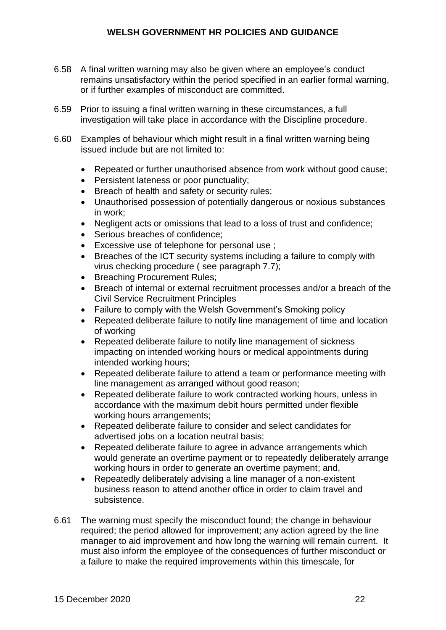- 6.58 A final written warning may also be given where an employee's conduct remains unsatisfactory within the period specified in an earlier formal warning, or if further examples of misconduct are committed.
- 6.59 Prior to issuing a final written warning in these circumstances, a full investigation will take place in accordance with the Discipline procedure.
- 6.60 Examples of behaviour which might result in a final written warning being issued include but are not limited to:
	- Repeated or further unauthorised absence from work without good cause;
	- Persistent lateness or poor punctuality;
	- Breach of health and safety or security rules;
	- Unauthorised possession of potentially dangerous or noxious substances in work;
	- Negligent acts or omissions that lead to a loss of trust and confidence;
	- Serious breaches of confidence:
	- **Excessive use of telephone for personal use**;
	- Breaches of the ICT security systems including a failure to comply with virus checking procedure ( see paragraph 7.7);
	- Breaching Procurement Rules;
	- Breach of internal or external recruitment processes and/or a breach of the Civil Service Recruitment Principles
	- Failure to comply with the Welsh Government's Smoking policy
	- Repeated deliberate failure to notify line management of time and location of working
	- Repeated deliberate failure to notify line management of sickness impacting on intended working hours or medical appointments during intended working hours;
	- Repeated deliberate failure to attend a team or performance meeting with line management as arranged without good reason;
	- Repeated deliberate failure to work contracted working hours, unless in accordance with the maximum debit hours permitted under flexible working hours arrangements;
	- Repeated deliberate failure to consider and select candidates for advertised jobs on a location neutral basis;
	- Repeated deliberate failure to agree in advance arrangements which would generate an overtime payment or to repeatedly deliberately arrange working hours in order to generate an overtime payment; and,
	- Repeatedly deliberately advising a line manager of a non-existent business reason to attend another office in order to claim travel and subsistence.
- 6.61 The warning must specify the misconduct found; the change in behaviour required; the period allowed for improvement; any action agreed by the line manager to aid improvement and how long the warning will remain current. It must also inform the employee of the consequences of further misconduct or a failure to make the required improvements within this timescale, for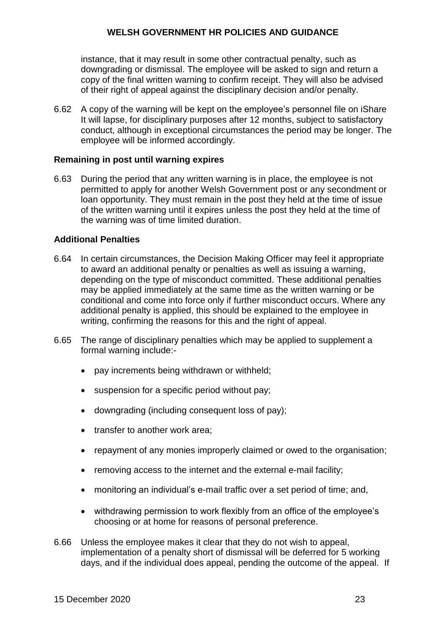instance, that it may result in some other contractual penalty, such as downgrading or dismissal. The employee will be asked to sign and return a copy of the final written warning to confirm receipt. They will also be advised of their right of appeal against the disciplinary decision and/or penalty.

6.62 A copy of the warning will be kept on the employee's personnel file on iShare It will lapse, for disciplinary purposes after 12 months, subject to satisfactory conduct, although in exceptional circumstances the period may be longer. The employee will be informed accordingly.

#### **Remaining in post until warning expires**

6.63 During the period that any written warning is in place, the employee is not permitted to apply for another Welsh Government post or any secondment or loan opportunity. They must remain in the post they held at the time of issue of the written warning until it expires unless the post they held at the time of the warning was of time limited duration.

#### **Additional Penalties**

- 6.64 In certain circumstances, the Decision Making Officer may feel it appropriate to award an additional penalty or penalties as well as issuing a warning, depending on the type of misconduct committed. These additional penalties may be applied immediately at the same time as the written warning or be conditional and come into force only if further misconduct occurs. Where any additional penalty is applied, this should be explained to the employee in writing, confirming the reasons for this and the right of appeal.
- 6.65 The range of disciplinary penalties which may be applied to supplement a formal warning include:-
	- pay increments being withdrawn or withheld;
	- suspension for a specific period without pay;
	- downgrading (including consequent loss of pay);
	- transfer to another work area:
	- repayment of any monies improperly claimed or owed to the organisation;
	- removing access to the internet and the external e-mail facility;
	- monitoring an individual's e-mail traffic over a set period of time; and,
	- withdrawing permission to work flexibly from an office of the employee's choosing or at home for reasons of personal preference.
- 6.66 Unless the employee makes it clear that they do not wish to appeal, implementation of a penalty short of dismissal will be deferred for 5 working days, and if the individual does appeal, pending the outcome of the appeal. If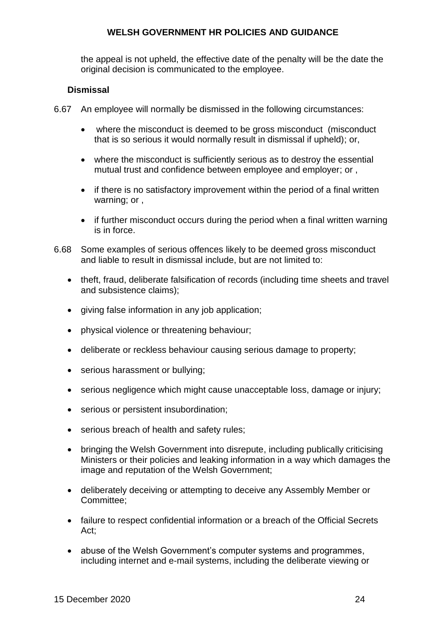the appeal is not upheld, the effective date of the penalty will be the date the original decision is communicated to the employee.

# **Dismissal**

- 6.67 An employee will normally be dismissed in the following circumstances:
	- where the misconduct is deemed to be gross misconduct (misconduct that is so serious it would normally result in dismissal if upheld); or,
	- where the misconduct is sufficiently serious as to destroy the essential mutual trust and confidence between employee and employer; or ,
	- if there is no satisfactory improvement within the period of a final written warning; or ,
	- if further misconduct occurs during the period when a final written warning is in force.
- 6.68 Some examples of serious offences likely to be deemed gross misconduct and liable to result in dismissal include, but are not limited to:
	- theft, fraud, deliberate falsification of records (including time sheets and travel and subsistence claims);
	- giving false information in any job application;
	- physical violence or threatening behaviour;
	- deliberate or reckless behaviour causing serious damage to property;
	- serious harassment or bullying;
	- serious negligence which might cause unacceptable loss, damage or injury;
	- serious or persistent insubordination;
	- serious breach of health and safety rules;
	- bringing the Welsh Government into disrepute, including publically criticising Ministers or their policies and leaking information in a way which damages the image and reputation of the Welsh Government;
	- deliberately deceiving or attempting to deceive any Assembly Member or Committee;
	- failure to respect confidential information or a breach of the Official Secrets Act;
	- abuse of the Welsh Government's computer systems and programmes, including internet and e-mail systems, including the deliberate viewing or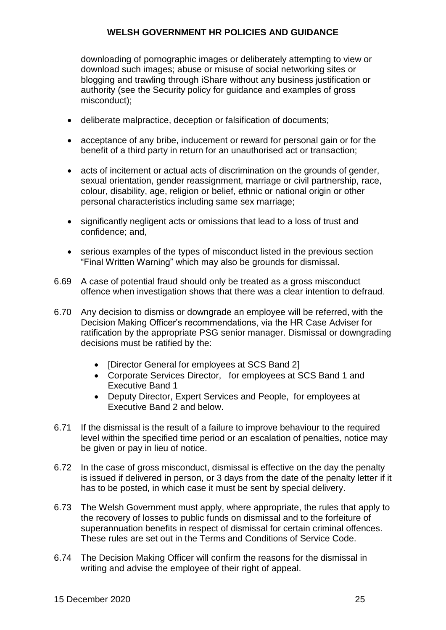downloading of pornographic images or deliberately attempting to view or download such images; abuse or misuse of social networking sites or blogging and trawling through iShare without any business justification or authority (see the Security policy for guidance and examples of gross misconduct);

- deliberate malpractice, deception or falsification of documents;
- acceptance of any bribe, inducement or reward for personal gain or for the benefit of a third party in return for an unauthorised act or transaction;
- acts of incitement or actual acts of discrimination on the grounds of gender, sexual orientation, gender reassignment, marriage or civil partnership, race, colour, disability, age, religion or belief, ethnic or national origin or other personal characteristics including same sex marriage;
- significantly negligent acts or omissions that lead to a loss of trust and confidence; and,
- serious examples of the types of misconduct listed in the previous section "Final Written Warning" which may also be grounds for dismissal.
- 6.69 A case of potential fraud should only be treated as a gross misconduct offence when investigation shows that there was a clear intention to defraud.
- 6.70 Any decision to dismiss or downgrade an employee will be referred, with the Decision Making Officer's recommendations, via the HR Case Adviser for ratification by the appropriate PSG senior manager. Dismissal or downgrading decisions must be ratified by the:
	- [Director General for employees at SCS Band 2]
	- Corporate Services Director, for employees at SCS Band 1 and Executive Band 1
	- Deputy Director, Expert Services and People, for employees at Executive Band 2 and below.
- 6.71 If the dismissal is the result of a failure to improve behaviour to the required level within the specified time period or an escalation of penalties, notice may be given or pay in lieu of notice.
- 6.72 In the case of gross misconduct, dismissal is effective on the day the penalty is issued if delivered in person, or 3 days from the date of the penalty letter if it has to be posted, in which case it must be sent by special delivery.
- 6.73 The Welsh Government must apply, where appropriate, the rules that apply to the recovery of losses to public funds on dismissal and to the forfeiture of superannuation benefits in respect of dismissal for certain criminal offences. These rules are set out in the Terms and Conditions of Service Code.
- 6.74 The Decision Making Officer will confirm the reasons for the dismissal in writing and advise the employee of their right of appeal.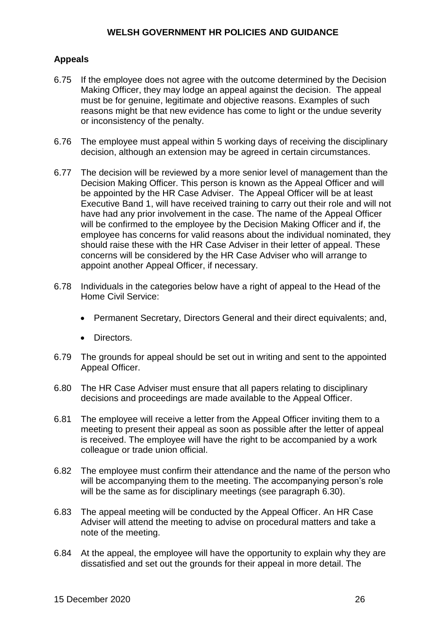# **Appeals**

- 6.75 If the employee does not agree with the outcome determined by the Decision Making Officer, they may lodge an appeal against the decision. The appeal must be for genuine, legitimate and objective reasons. Examples of such reasons might be that new evidence has come to light or the undue severity or inconsistency of the penalty.
- 6.76 The employee must appeal within 5 working days of receiving the disciplinary decision, although an extension may be agreed in certain circumstances.
- 6.77 The decision will be reviewed by a more senior level of management than the Decision Making Officer. This person is known as the Appeal Officer and will be appointed by the HR Case Adviser. The Appeal Officer will be at least Executive Band 1, will have received training to carry out their role and will not have had any prior involvement in the case. The name of the Appeal Officer will be confirmed to the employee by the Decision Making Officer and if, the employee has concerns for valid reasons about the individual nominated, they should raise these with the HR Case Adviser in their letter of appeal. These concerns will be considered by the HR Case Adviser who will arrange to appoint another Appeal Officer, if necessary.
- 6.78 Individuals in the categories below have a right of appeal to the Head of the Home Civil Service:
	- Permanent Secretary, Directors General and their direct equivalents; and,
	- Directors.
- 6.79 The grounds for appeal should be set out in writing and sent to the appointed Appeal Officer.
- 6.80 The HR Case Adviser must ensure that all papers relating to disciplinary decisions and proceedings are made available to the Appeal Officer.
- 6.81 The employee will receive a letter from the Appeal Officer inviting them to a meeting to present their appeal as soon as possible after the letter of appeal is received. The employee will have the right to be accompanied by a work colleague or trade union official.
- 6.82 The employee must confirm their attendance and the name of the person who will be accompanying them to the meeting. The accompanying person's role will be the same as for disciplinary meetings (see paragraph 6.30).
- 6.83 The appeal meeting will be conducted by the Appeal Officer. An HR Case Adviser will attend the meeting to advise on procedural matters and take a note of the meeting.
- 6.84 At the appeal, the employee will have the opportunity to explain why they are dissatisfied and set out the grounds for their appeal in more detail. The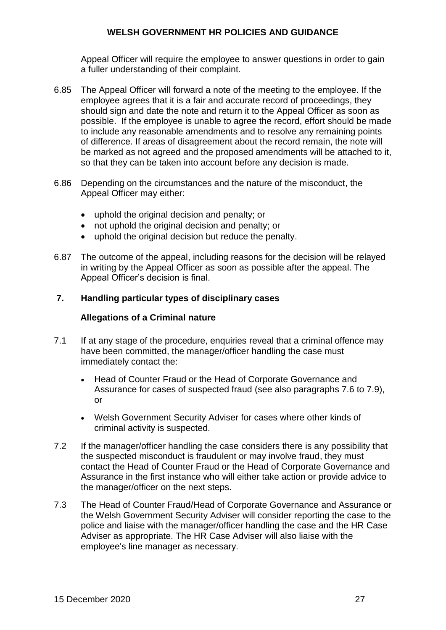Appeal Officer will require the employee to answer questions in order to gain a fuller understanding of their complaint.

- 6.85 The Appeal Officer will forward a note of the meeting to the employee. If the employee agrees that it is a fair and accurate record of proceedings, they should sign and date the note and return it to the Appeal Officer as soon as possible. If the employee is unable to agree the record, effort should be made to include any reasonable amendments and to resolve any remaining points of difference. If areas of disagreement about the record remain, the note will be marked as not agreed and the proposed amendments will be attached to it, so that they can be taken into account before any decision is made.
- 6.86 Depending on the circumstances and the nature of the misconduct, the Appeal Officer may either:
	- uphold the original decision and penalty; or
	- not uphold the original decision and penalty; or
	- uphold the original decision but reduce the penalty.
- 6.87 The outcome of the appeal, including reasons for the decision will be relayed in writing by the Appeal Officer as soon as possible after the appeal. The Appeal Officer's decision is final.

#### **7. Handling particular types of disciplinary cases**

#### **Allegations of a Criminal nature**

- 7.1 If at any stage of the procedure, enquiries reveal that a criminal offence may have been committed, the manager/officer handling the case must immediately contact the:
	- Head of Counter Fraud or the Head of Corporate Governance and Assurance for cases of suspected fraud (see also paragraphs 7.6 to 7.9), or
	- Welsh Government Security Adviser for cases where other kinds of criminal activity is suspected.
- 7.2 If the manager/officer handling the case considers there is any possibility that the suspected misconduct is fraudulent or may involve fraud, they must contact the Head of Counter Fraud or the Head of Corporate Governance and Assurance in the first instance who will either take action or provide advice to the manager/officer on the next steps.
- 7.3 The Head of Counter Fraud/Head of Corporate Governance and Assurance or the Welsh Government Security Adviser will consider reporting the case to the police and liaise with the manager/officer handling the case and the HR Case Adviser as appropriate. The HR Case Adviser will also liaise with the employee's line manager as necessary.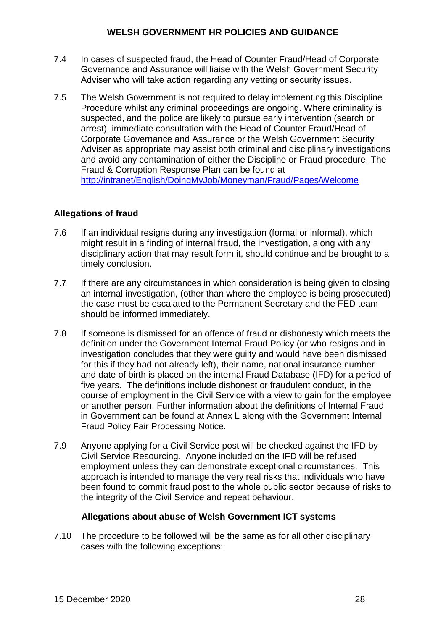- 7.4 In cases of suspected fraud, the Head of Counter Fraud/Head of Corporate Governance and Assurance will liaise with the Welsh Government Security Adviser who will take action regarding any vetting or security issues.
- 7.5 The Welsh Government is not required to delay implementing this Discipline Procedure whilst any criminal proceedings are ongoing. Where criminality is suspected, and the police are likely to pursue early intervention (search or arrest), immediate consultation with the Head of Counter Fraud/Head of Corporate Governance and Assurance or the Welsh Government Security Adviser as appropriate may assist both criminal and disciplinary investigations and avoid any contamination of either the Discipline or Fraud procedure. The Fraud & Corruption Response Plan can be found at [http://intranet/English/DoingMyJob/Moneyman/Fraud/Pages/Welcome](http://intranet/English/DoingMyJob/Moneyman/Fraud/Pages/Welcome.aspx)

# **Allegations of fraud**

- 7.6 If an individual resigns during any investigation (formal or informal), which might result in a finding of internal fraud, the investigation, along with any disciplinary action that may result form it, should continue and be brought to a timely conclusion.
- 7.7 If there are any circumstances in which consideration is being given to closing an internal investigation, (other than where the employee is being prosecuted) the case must be escalated to the Permanent Secretary and the FED team should be informed immediately.
- 7.8 If someone is dismissed for an offence of fraud or dishonesty which meets the definition under the Government Internal Fraud Policy (or who resigns and in investigation concludes that they were guilty and would have been dismissed for this if they had not already left), their name, national insurance number and date of birth is placed on the internal Fraud Database (IFD) for a period of five years. The definitions include dishonest or fraudulent conduct, in the course of employment in the Civil Service with a view to gain for the employee or another person. Further information about the definitions of Internal Fraud in Government can be found at Annex L along with the Government Internal Fraud Policy Fair Processing Notice.
- 7.9 Anyone applying for a Civil Service post will be checked against the IFD by Civil Service Resourcing. Anyone included on the IFD will be refused employment unless they can demonstrate exceptional circumstances. This approach is intended to manage the very real risks that individuals who have been found to commit fraud post to the whole public sector because of risks to the integrity of the Civil Service and repeat behaviour.

#### **Allegations about abuse of Welsh Government ICT systems**

7.10 The procedure to be followed will be the same as for all other disciplinary cases with the following exceptions: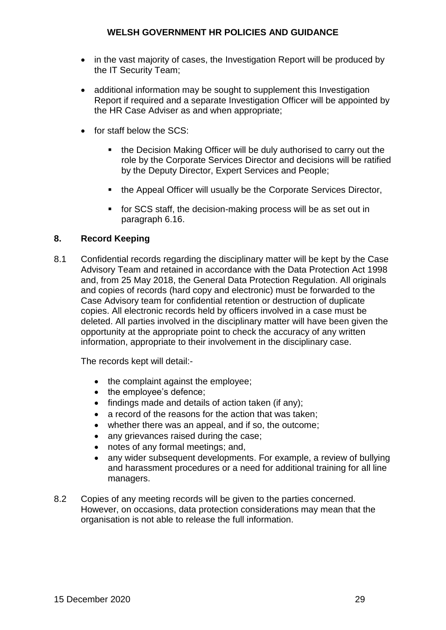- in the vast majority of cases, the Investigation Report will be produced by the IT Security Team;
- additional information may be sought to supplement this Investigation Report if required and a separate Investigation Officer will be appointed by the HR Case Adviser as and when appropriate;
- $\bullet$  for staff below the SCS:
	- the Decision Making Officer will be duly authorised to carry out the role by the Corporate Services Director and decisions will be ratified by the Deputy Director, Expert Services and People;
	- the Appeal Officer will usually be the Corporate Services Director,
	- **for SCS staff, the decision-making process will be as set out in** paragraph 6.16.

# **8. Record Keeping**

8.1 Confidential records regarding the disciplinary matter will be kept by the Case Advisory Team and retained in accordance with the Data Protection Act 1998 and, from 25 May 2018, the General Data Protection Regulation. All originals and copies of records (hard copy and electronic) must be forwarded to the Case Advisory team for confidential retention or destruction of duplicate copies. All electronic records held by officers involved in a case must be deleted. All parties involved in the disciplinary matter will have been given the opportunity at the appropriate point to check the accuracy of any written information, appropriate to their involvement in the disciplinary case.

The records kept will detail:-

- the complaint against the employee;
- the employee's defence;
- $\bullet$  findings made and details of action taken (if any);
- a record of the reasons for the action that was taken:
- whether there was an appeal, and if so, the outcome;
- any grievances raised during the case;
- notes of any formal meetings; and,
- any wider subsequent developments. For example, a review of bullying and harassment procedures or a need for additional training for all line managers.
- 8.2 Copies of any meeting records will be given to the parties concerned. However, on occasions, data protection considerations may mean that the organisation is not able to release the full information.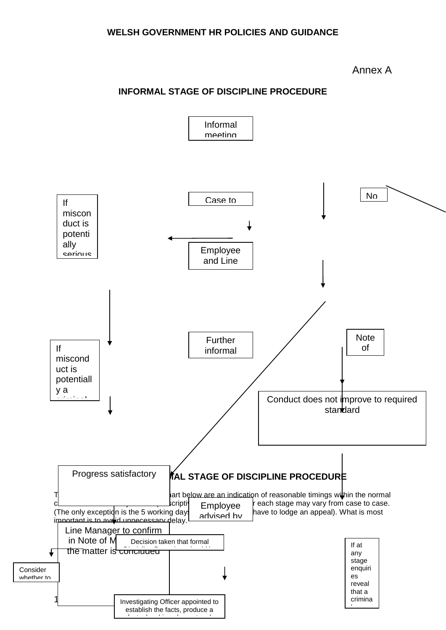#### Annex A

# **INFORMAL STAGE OF DISCIPLINE PROCEDURE**

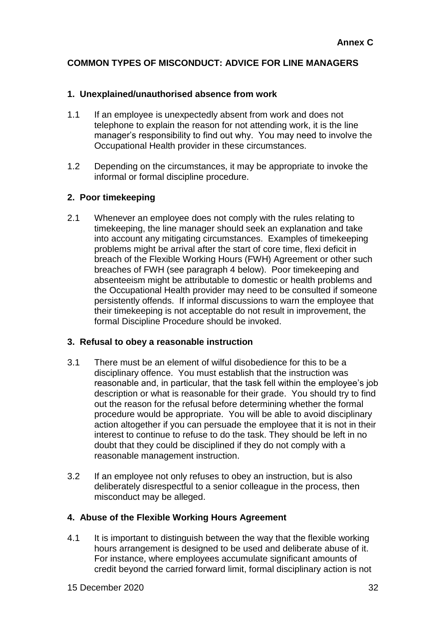# **COMMON TYPES OF MISCONDUCT: ADVICE FOR LINE MANAGERS**

# **1. Unexplained/unauthorised absence from work**

- 1.1 If an employee is unexpectedly absent from work and does not telephone to explain the reason for not attending work, it is the line manager's responsibility to find out why. You may need to involve the Occupational Health provider in these circumstances.
- 1.2 Depending on the circumstances, it may be appropriate to invoke the informal or formal discipline procedure.

# **2. Poor timekeeping**

2.1 Whenever an employee does not comply with the rules relating to timekeeping, the line manager should seek an explanation and take into account any mitigating circumstances. Examples of timekeeping problems might be arrival after the start of core time, flexi deficit in breach of the Flexible Working Hours (FWH) Agreement or other such breaches of FWH (see paragraph 4 below). Poor timekeeping and absenteeism might be attributable to domestic or health problems and the Occupational Health provider may need to be consulted if someone persistently offends. If informal discussions to warn the employee that their timekeeping is not acceptable do not result in improvement, the formal Discipline Procedure should be invoked.

#### **3. Refusal to obey a reasonable instruction**

- 3.1 There must be an element of wilful disobedience for this to be a disciplinary offence. You must establish that the instruction was reasonable and, in particular, that the task fell within the employee's job description or what is reasonable for their grade. You should try to find out the reason for the refusal before determining whether the formal procedure would be appropriate. You will be able to avoid disciplinary action altogether if you can persuade the employee that it is not in their interest to continue to refuse to do the task. They should be left in no doubt that they could be disciplined if they do not comply with a reasonable management instruction.
- 3.2 If an employee not only refuses to obey an instruction, but is also deliberately disrespectful to a senior colleague in the process, then misconduct may be alleged.

# **4. Abuse of the Flexible Working Hours Agreement**

4.1 It is important to distinguish between the way that the flexible working hours arrangement is designed to be used and deliberate abuse of it. For instance, where employees accumulate significant amounts of credit beyond the carried forward limit, formal disciplinary action is not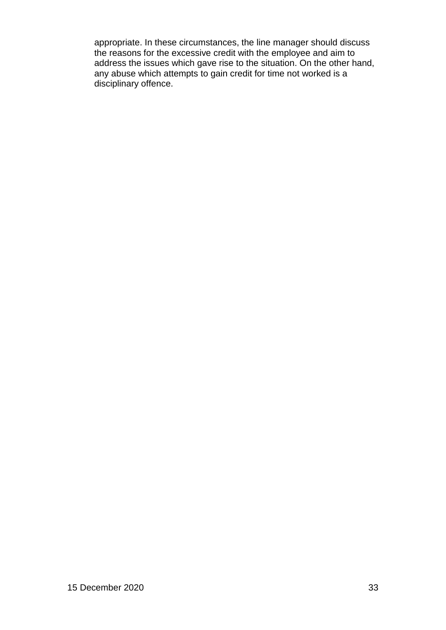appropriate. In these circumstances, the line manager should discuss the reasons for the excessive credit with the employee and aim to address the issues which gave rise to the situation. On the other hand, any abuse which attempts to gain credit for time not worked is a disciplinary offence.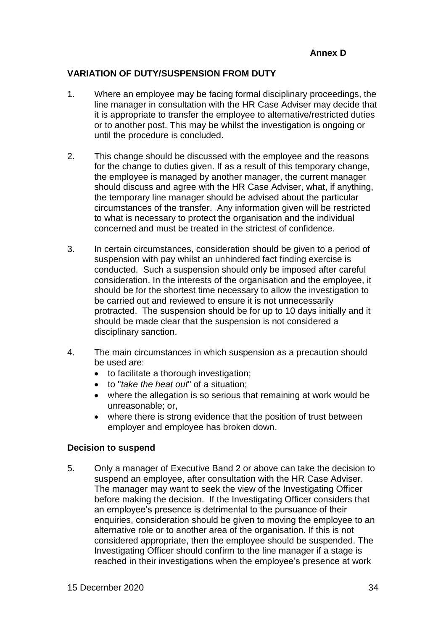# **VARIATION OF DUTY/SUSPENSION FROM DUTY**

- 1. Where an employee may be facing formal disciplinary proceedings, the line manager in consultation with the HR Case Adviser may decide that it is appropriate to transfer the employee to alternative/restricted duties or to another post. This may be whilst the investigation is ongoing or until the procedure is concluded.
- 2. This change should be discussed with the employee and the reasons for the change to duties given. If as a result of this temporary change, the employee is managed by another manager, the current manager should discuss and agree with the HR Case Adviser, what, if anything, the temporary line manager should be advised about the particular circumstances of the transfer. Any information given will be restricted to what is necessary to protect the organisation and the individual concerned and must be treated in the strictest of confidence.
- 3. In certain circumstances, consideration should be given to a period of suspension with pay whilst an unhindered fact finding exercise is conducted. Such a suspension should only be imposed after careful consideration. In the interests of the organisation and the employee, it should be for the shortest time necessary to allow the investigation to be carried out and reviewed to ensure it is not unnecessarily protracted. The suspension should be for up to 10 days initially and it should be made clear that the suspension is not considered a disciplinary sanction.
- 4. The main circumstances in which suspension as a precaution should be used are:
	- to facilitate a thorough investigation;
	- to "*take the heat out*" of a situation;
	- where the allegation is so serious that remaining at work would be unreasonable; or,
	- where there is strong evidence that the position of trust between employer and employee has broken down.

#### **Decision to suspend**

5. Only a manager of Executive Band 2 or above can take the decision to suspend an employee, after consultation with the HR Case Adviser. The manager may want to seek the view of the Investigating Officer before making the decision. If the Investigating Officer considers that an employee's presence is detrimental to the pursuance of their enquiries, consideration should be given to moving the employee to an alternative role or to another area of the organisation. If this is not considered appropriate, then the employee should be suspended. The Investigating Officer should confirm to the line manager if a stage is reached in their investigations when the employee's presence at work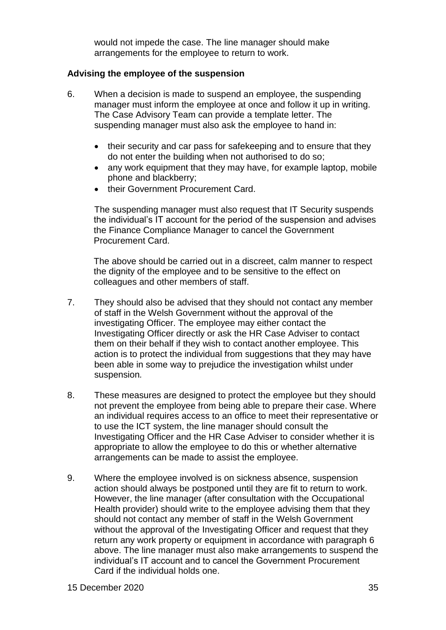would not impede the case. The line manager should make arrangements for the employee to return to work.

# **Advising the employee of the suspension**

- 6. When a decision is made to suspend an employee, the suspending manager must inform the employee at once and follow it up in writing. The Case Advisory Team can provide a template letter. The suspending manager must also ask the employee to hand in:
	- their security and car pass for safekeeping and to ensure that they do not enter the building when not authorised to do so;
	- any work equipment that they may have, for example laptop, mobile phone and blackberry;
	- their Government Procurement Card.

The suspending manager must also request that IT Security suspends the individual's IT account for the period of the suspension and advises the Finance Compliance Manager to cancel the Government Procurement Card.

The above should be carried out in a discreet, calm manner to respect the dignity of the employee and to be sensitive to the effect on colleagues and other members of staff.

- 7. They should also be advised that they should not contact any member of staff in the Welsh Government without the approval of the investigating Officer. The employee may either contact the Investigating Officer directly or ask the HR Case Adviser to contact them on their behalf if they wish to contact another employee. This action is to protect the individual from suggestions that they may have been able in some way to prejudice the investigation whilst under suspension*.*
- 8. These measures are designed to protect the employee but they should not prevent the employee from being able to prepare their case. Where an individual requires access to an office to meet their representative or to use the ICT system, the line manager should consult the Investigating Officer and the HR Case Adviser to consider whether it is appropriate to allow the employee to do this or whether alternative arrangements can be made to assist the employee.
- 9. Where the employee involved is on sickness absence, suspension action should always be postponed until they are fit to return to work. However, the line manager (after consultation with the Occupational Health provider) should write to the employee advising them that they should not contact any member of staff in the Welsh Government without the approval of the Investigating Officer and request that they return any work property or equipment in accordance with paragraph 6 above. The line manager must also make arrangements to suspend the individual's IT account and to cancel the Government Procurement Card if the individual holds one.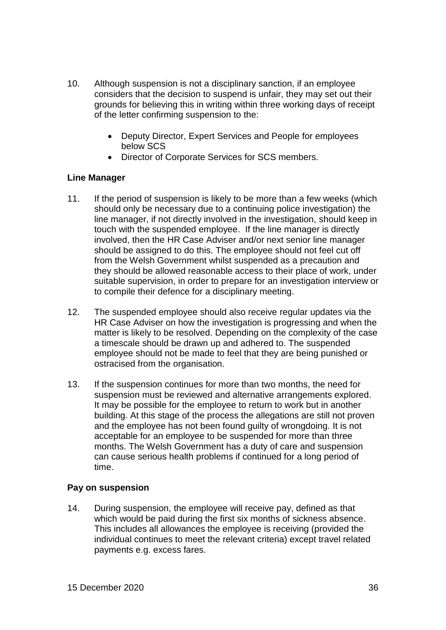- 10. Although suspension is not a disciplinary sanction, if an employee considers that the decision to suspend is unfair, they may set out their grounds for believing this in writing within three working days of receipt of the letter confirming suspension to the:
	- Deputy Director, Expert Services and People for employees below SCS
	- Director of Corporate Services for SCS members.

#### **Line Manager**

- 11. If the period of suspension is likely to be more than a few weeks (which should only be necessary due to a continuing police investigation) the line manager, if not directly involved in the investigation, should keep in touch with the suspended employee. If the line manager is directly involved, then the HR Case Adviser and/or next senior line manager should be assigned to do this. The employee should not feel cut off from the Welsh Government whilst suspended as a precaution and they should be allowed reasonable access to their place of work, under suitable supervision, in order to prepare for an investigation interview or to compile their defence for a disciplinary meeting.
- 12. The suspended employee should also receive regular updates via the HR Case Adviser on how the investigation is progressing and when the matter is likely to be resolved. Depending on the complexity of the case a timescale should be drawn up and adhered to. The suspended employee should not be made to feel that they are being punished or ostracised from the organisation.
- 13. If the suspension continues for more than two months, the need for suspension must be reviewed and alternative arrangements explored. It may be possible for the employee to return to work but in another building. At this stage of the process the allegations are still not proven and the employee has not been found guilty of wrongdoing. It is not acceptable for an employee to be suspended for more than three months. The Welsh Government has a duty of care and suspension can cause serious health problems if continued for a long period of time.

#### **Pay on suspension**

14. During suspension, the employee will receive pay, defined as that which would be paid during the first six months of sickness absence. This includes all allowances the employee is receiving (provided the individual continues to meet the relevant criteria) except travel related payments e.g. excess fares.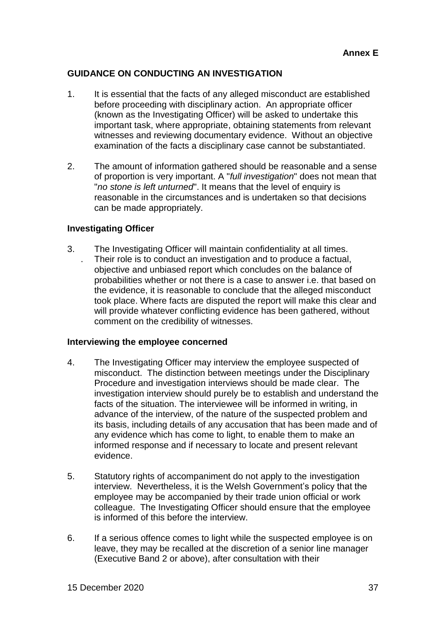# **GUIDANCE ON CONDUCTING AN INVESTIGATION**

- 1. It is essential that the facts of any alleged misconduct are established before proceeding with disciplinary action. An appropriate officer (known as the Investigating Officer) will be asked to undertake this important task, where appropriate, obtaining statements from relevant witnesses and reviewing documentary evidence. Without an objective examination of the facts a disciplinary case cannot be substantiated.
- 2. The amount of information gathered should be reasonable and a sense of proportion is very important. A "*full investigation*" does not mean that "*no stone is left unturned*". It means that the level of enquiry is reasonable in the circumstances and is undertaken so that decisions can be made appropriately.

#### **Investigating Officer**

3. The Investigating Officer will maintain confidentiality at all times. . Their role is to conduct an investigation and to produce a factual, objective and unbiased report which concludes on the balance of probabilities whether or not there is a case to answer i.e. that based on the evidence, it is reasonable to conclude that the alleged misconduct took place. Where facts are disputed the report will make this clear and will provide whatever conflicting evidence has been gathered, without comment on the credibility of witnesses.

#### **Interviewing the employee concerned**

- 4. The Investigating Officer may interview the employee suspected of misconduct. The distinction between meetings under the Disciplinary Procedure and investigation interviews should be made clear. The investigation interview should purely be to establish and understand the facts of the situation. The interviewee will be informed in writing, in advance of the interview, of the nature of the suspected problem and its basis, including details of any accusation that has been made and of any evidence which has come to light, to enable them to make an informed response and if necessary to locate and present relevant evidence.
- 5. Statutory rights of accompaniment do not apply to the investigation interview. Nevertheless, it is the Welsh Government's policy that the employee may be accompanied by their trade union official or work colleague. The Investigating Officer should ensure that the employee is informed of this before the interview.
- 6. If a serious offence comes to light while the suspected employee is on leave, they may be recalled at the discretion of a senior line manager (Executive Band 2 or above), after consultation with their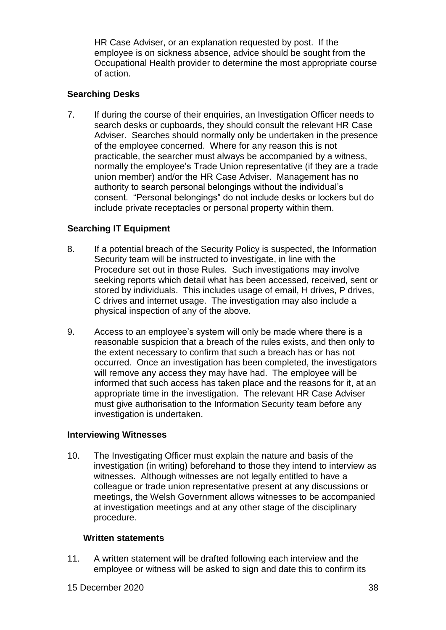HR Case Adviser, or an explanation requested by post. If the employee is on sickness absence, advice should be sought from the Occupational Health provider to determine the most appropriate course of action.

# **Searching Desks**

7. If during the course of their enquiries, an Investigation Officer needs to search desks or cupboards, they should consult the relevant HR Case Adviser. Searches should normally only be undertaken in the presence of the employee concerned. Where for any reason this is not practicable, the searcher must always be accompanied by a witness, normally the employee's Trade Union representative (if they are a trade union member) and/or the HR Case Adviser. Management has no authority to search personal belongings without the individual's consent. "Personal belongings" do not include desks or lockers but do include private receptacles or personal property within them.

# **Searching IT Equipment**

- 8. If a potential breach of the Security Policy is suspected, the Information Security team will be instructed to investigate, in line with the Procedure set out in those Rules. Such investigations may involve seeking reports which detail what has been accessed, received, sent or stored by individuals. This includes usage of email, H drives, P drives, C drives and internet usage. The investigation may also include a physical inspection of any of the above.
- 9. Access to an employee's system will only be made where there is a reasonable suspicion that a breach of the rules exists, and then only to the extent necessary to confirm that such a breach has or has not occurred. Once an investigation has been completed, the investigators will remove any access they may have had. The employee will be informed that such access has taken place and the reasons for it, at an appropriate time in the investigation. The relevant HR Case Adviser must give authorisation to the Information Security team before any investigation is undertaken.

#### **Interviewing Witnesses**

10. The Investigating Officer must explain the nature and basis of the investigation (in writing) beforehand to those they intend to interview as witnesses. Although witnesses are not legally entitled to have a colleague or trade union representative present at any discussions or meetings, the Welsh Government allows witnesses to be accompanied at investigation meetings and at any other stage of the disciplinary procedure.

#### **Written statements**

11. A written statement will be drafted following each interview and the employee or witness will be asked to sign and date this to confirm its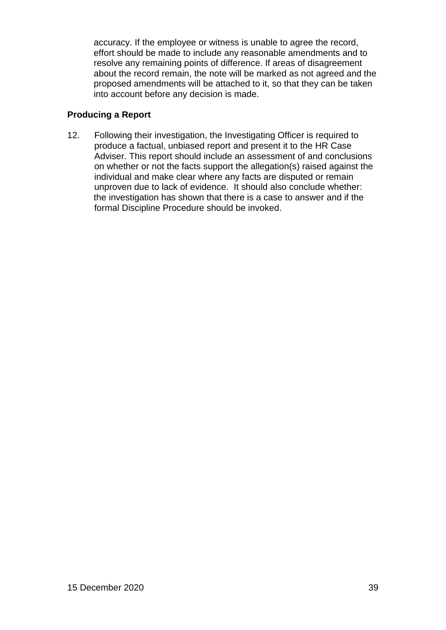accuracy. If the employee or witness is unable to agree the record, effort should be made to include any reasonable amendments and to resolve any remaining points of difference. If areas of disagreement about the record remain, the note will be marked as not agreed and the proposed amendments will be attached to it, so that they can be taken into account before any decision is made.

# **Producing a Report**

12. Following their investigation, the Investigating Officer is required to produce a factual, unbiased report and present it to the HR Case Adviser. This report should include an assessment of and conclusions on whether or not the facts support the allegation(s) raised against the individual and make clear where any facts are disputed or remain unproven due to lack of evidence. It should also conclude whether: the investigation has shown that there is a case to answer and if the formal Discipline Procedure should be invoked.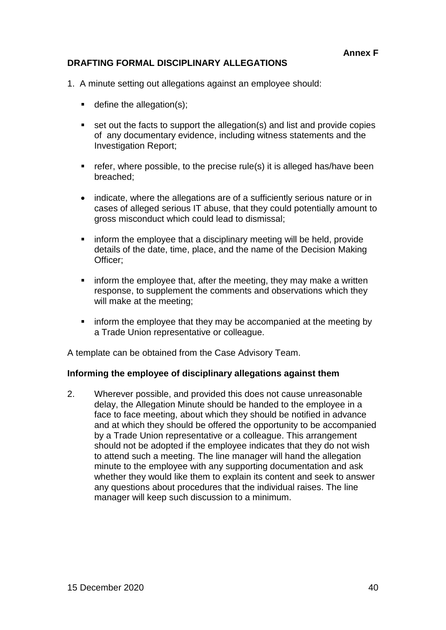# **DRAFTING FORMAL DISCIPLINARY ALLEGATIONS**

- 1. A minute setting out allegations against an employee should:
	- $\blacksquare$  define the allegation(s);
	- set out the facts to support the allegation(s) and list and provide copies of any documentary evidence, including witness statements and the Investigation Report;
	- $\blacksquare$  refer, where possible, to the precise rule(s) it is alleged has/have been breached;
	- indicate, where the allegations are of a sufficiently serious nature or in cases of alleged serious IT abuse, that they could potentially amount to gross misconduct which could lead to dismissal;
	- **F** inform the employee that a disciplinary meeting will be held, provide details of the date, time, place, and the name of the Decision Making Officer;
	- $\blacksquare$  inform the employee that, after the meeting, they may make a written response, to supplement the comments and observations which they will make at the meeting;
	- inform the employee that they may be accompanied at the meeting by a Trade Union representative or colleague.

A template can be obtained from the Case Advisory Team.

#### **Informing the employee of disciplinary allegations against them**

2. Wherever possible, and provided this does not cause unreasonable delay, the Allegation Minute should be handed to the employee in a face to face meeting, about which they should be notified in advance and at which they should be offered the opportunity to be accompanied by a Trade Union representative or a colleague. This arrangement should not be adopted if the employee indicates that they do not wish to attend such a meeting. The line manager will hand the allegation minute to the employee with any supporting documentation and ask whether they would like them to explain its content and seek to answer any questions about procedures that the individual raises. The line manager will keep such discussion to a minimum.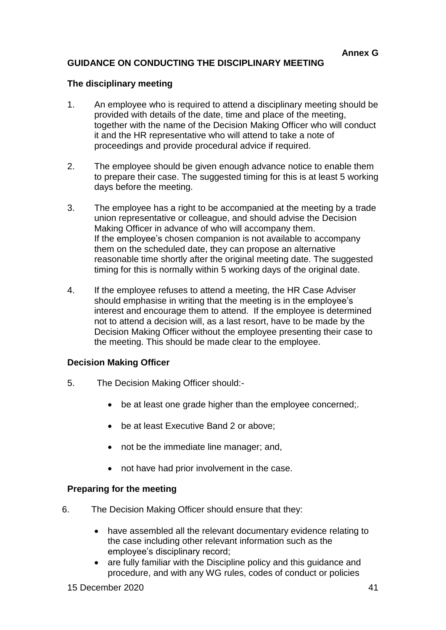# **GUIDANCE ON CONDUCTING THE DISCIPLINARY MEETING**

#### **The disciplinary meeting**

- 1. An employee who is required to attend a disciplinary meeting should be provided with details of the date, time and place of the meeting, together with the name of the Decision Making Officer who will conduct it and the HR representative who will attend to take a note of proceedings and provide procedural advice if required.
- 2. The employee should be given enough advance notice to enable them to prepare their case. The suggested timing for this is at least 5 working days before the meeting.
- 3. The employee has a right to be accompanied at the meeting by a trade union representative or colleague, and should advise the Decision Making Officer in advance of who will accompany them. If the employee's chosen companion is not available to accompany them on the scheduled date, they can propose an alternative reasonable time shortly after the original meeting date. The suggested timing for this is normally within 5 working days of the original date.
- 4. If the employee refuses to attend a meeting, the HR Case Adviser should emphasise in writing that the meeting is in the employee's interest and encourage them to attend. If the employee is determined not to attend a decision will, as a last resort, have to be made by the Decision Making Officer without the employee presenting their case to the meeting. This should be made clear to the employee.

#### **Decision Making Officer**

- 5. The Decision Making Officer should:
	- be at least one grade higher than the employee concerned;.
	- be at least Executive Band 2 or above;
	- not be the immediate line manager; and,
	- not have had prior involvement in the case.

#### **Preparing for the meeting**

- 6. The Decision Making Officer should ensure that they:
	- have assembled all the relevant documentary evidence relating to the case including other relevant information such as the employee's disciplinary record;
	- are fully familiar with the Discipline policy and this guidance and procedure, and with any WG rules, codes of conduct or policies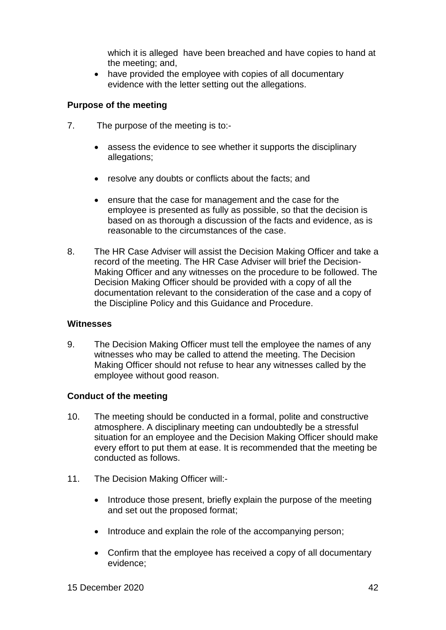which it is alleged have been breached and have copies to hand at the meeting; and,

• have provided the employee with copies of all documentary evidence with the letter setting out the allegations.

#### **Purpose of the meeting**

- 7. The purpose of the meeting is to:
	- assess the evidence to see whether it supports the disciplinary allegations;
	- resolve any doubts or conflicts about the facts; and
	- ensure that the case for management and the case for the employee is presented as fully as possible, so that the decision is based on as thorough a discussion of the facts and evidence, as is reasonable to the circumstances of the case.
- 8. The HR Case Adviser will assist the Decision Making Officer and take a record of the meeting. The HR Case Adviser will brief the Decision-Making Officer and any witnesses on the procedure to be followed. The Decision Making Officer should be provided with a copy of all the documentation relevant to the consideration of the case and a copy of the Discipline Policy and this Guidance and Procedure.

#### **Witnesses**

9. The Decision Making Officer must tell the employee the names of any witnesses who may be called to attend the meeting. The Decision Making Officer should not refuse to hear any witnesses called by the employee without good reason.

#### **Conduct of the meeting**

- 10. The meeting should be conducted in a formal, polite and constructive atmosphere. A disciplinary meeting can undoubtedly be a stressful situation for an employee and the Decision Making Officer should make every effort to put them at ease. It is recommended that the meeting be conducted as follows.
- 11. The Decision Making Officer will:-
	- Introduce those present, briefly explain the purpose of the meeting and set out the proposed format;
	- Introduce and explain the role of the accompanying person;
	- Confirm that the employee has received a copy of all documentary evidence;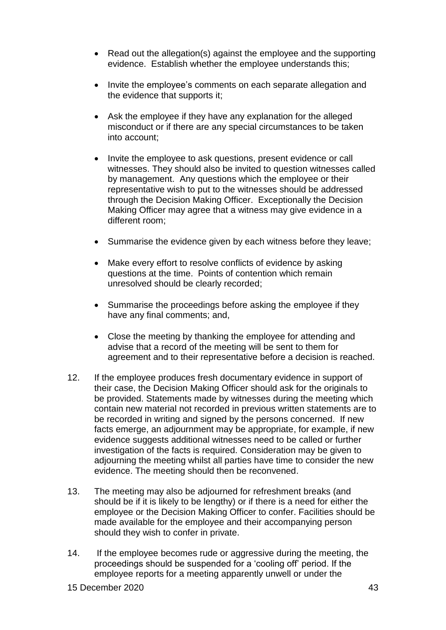- Read out the allegation(s) against the employee and the supporting evidence. Establish whether the employee understands this;
- Invite the employee's comments on each separate allegation and the evidence that supports it;
- Ask the employee if they have any explanation for the alleged misconduct or if there are any special circumstances to be taken into account;
- Invite the employee to ask questions, present evidence or call witnesses. They should also be invited to question witnesses called by management. Any questions which the employee or their representative wish to put to the witnesses should be addressed through the Decision Making Officer. Exceptionally the Decision Making Officer may agree that a witness may give evidence in a different room;
- Summarise the evidence given by each witness before they leave;
- Make every effort to resolve conflicts of evidence by asking questions at the time. Points of contention which remain unresolved should be clearly recorded;
- Summarise the proceedings before asking the employee if they have any final comments; and,
- Close the meeting by thanking the employee for attending and advise that a record of the meeting will be sent to them for agreement and to their representative before a decision is reached.
- 12. If the employee produces fresh documentary evidence in support of their case, the Decision Making Officer should ask for the originals to be provided. Statements made by witnesses during the meeting which contain new material not recorded in previous written statements are to be recorded in writing and signed by the persons concerned. If new facts emerge, an adjournment may be appropriate, for example, if new evidence suggests additional witnesses need to be called or further investigation of the facts is required. Consideration may be given to adjourning the meeting whilst all parties have time to consider the new evidence. The meeting should then be reconvened.
- 13. The meeting may also be adjourned for refreshment breaks (and should be if it is likely to be lengthy) or if there is a need for either the employee or the Decision Making Officer to confer. Facilities should be made available for the employee and their accompanying person should they wish to confer in private.
- 14. If the employee becomes rude or aggressive during the meeting, the proceedings should be suspended for a 'cooling off' period. If the employee reports for a meeting apparently unwell or under the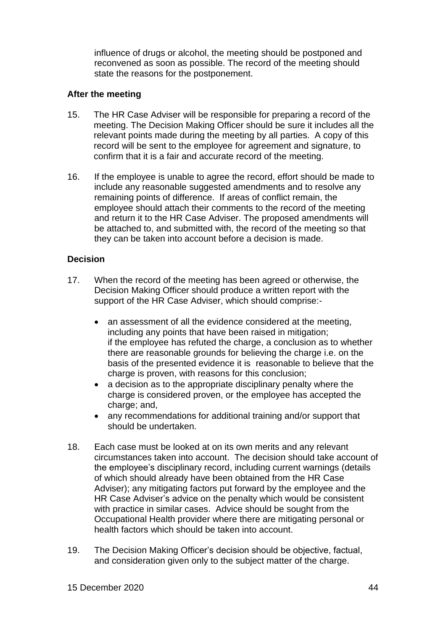influence of drugs or alcohol, the meeting should be postponed and reconvened as soon as possible. The record of the meeting should state the reasons for the postponement.

### **After the meeting**

- 15. The HR Case Adviser will be responsible for preparing a record of the meeting. The Decision Making Officer should be sure it includes all the relevant points made during the meeting by all parties. A copy of this record will be sent to the employee for agreement and signature, to confirm that it is a fair and accurate record of the meeting.
- 16. If the employee is unable to agree the record, effort should be made to include any reasonable suggested amendments and to resolve any remaining points of difference. If areas of conflict remain, the employee should attach their comments to the record of the meeting and return it to the HR Case Adviser. The proposed amendments will be attached to, and submitted with, the record of the meeting so that they can be taken into account before a decision is made.

# **Decision**

- 17. When the record of the meeting has been agreed or otherwise, the Decision Making Officer should produce a written report with the support of the HR Case Adviser, which should comprise:
	- an assessment of all the evidence considered at the meeting, including any points that have been raised in mitigation; if the employee has refuted the charge, a conclusion as to whether there are reasonable grounds for believing the charge i.e. on the basis of the presented evidence it is reasonable to believe that the charge is proven, with reasons for this conclusion;
	- a decision as to the appropriate disciplinary penalty where the charge is considered proven, or the employee has accepted the charge; and,
	- any recommendations for additional training and/or support that should be undertaken.
- 18. Each case must be looked at on its own merits and any relevant circumstances taken into account. The decision should take account of the employee's disciplinary record, including current warnings (details of which should already have been obtained from the HR Case Adviser); any mitigating factors put forward by the employee and the HR Case Adviser's advice on the penalty which would be consistent with practice in similar cases. Advice should be sought from the Occupational Health provider where there are mitigating personal or health factors which should be taken into account.
- 19. The Decision Making Officer's decision should be objective, factual, and consideration given only to the subject matter of the charge.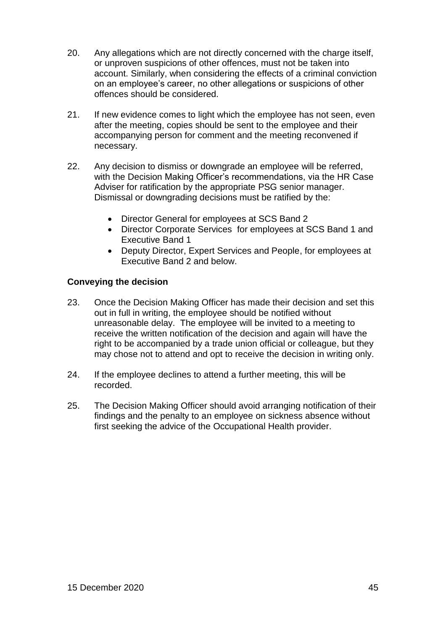- 20. Any allegations which are not directly concerned with the charge itself, or unproven suspicions of other offences, must not be taken into account. Similarly, when considering the effects of a criminal conviction on an employee's career, no other allegations or suspicions of other offences should be considered.
- 21. If new evidence comes to light which the employee has not seen, even after the meeting, copies should be sent to the employee and their accompanying person for comment and the meeting reconvened if necessary.
- 22. Any decision to dismiss or downgrade an employee will be referred, with the Decision Making Officer's recommendations, via the HR Case Adviser for ratification by the appropriate PSG senior manager. Dismissal or downgrading decisions must be ratified by the:
	- Director General for employees at SCS Band 2
	- Director Corporate Services for employees at SCS Band 1 and Executive Band 1
	- Deputy Director, Expert Services and People, for employees at Executive Band 2 and below.

# **Conveying the decision**

- 23. Once the Decision Making Officer has made their decision and set this out in full in writing, the employee should be notified without unreasonable delay. The employee will be invited to a meeting to receive the written notification of the decision and again will have the right to be accompanied by a trade union official or colleague, but they may chose not to attend and opt to receive the decision in writing only.
- 24. If the employee declines to attend a further meeting, this will be recorded.
- 25. The Decision Making Officer should avoid arranging notification of their findings and the penalty to an employee on sickness absence without first seeking the advice of the Occupational Health provider.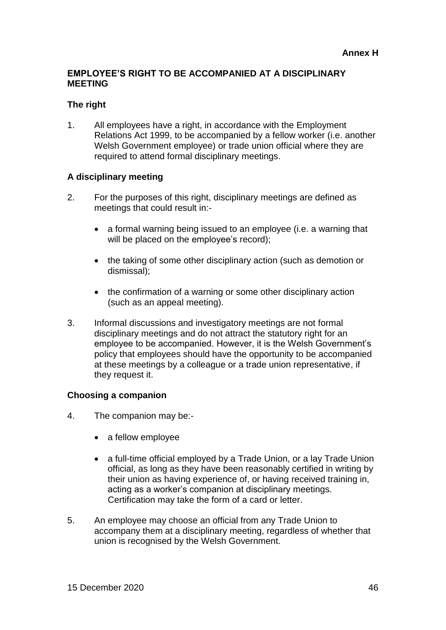# **EMPLOYEE'S RIGHT TO BE ACCOMPANIED AT A DISCIPLINARY MEETING**

#### **The right**

1. All employees have a right, in accordance with the Employment Relations Act 1999, to be accompanied by a fellow worker (i.e. another Welsh Government employee) or trade union official where they are required to attend formal disciplinary meetings.

#### **A disciplinary meeting**

- 2. For the purposes of this right, disciplinary meetings are defined as meetings that could result in:-
	- a formal warning being issued to an employee (i.e. a warning that will be placed on the employee's record);
	- the taking of some other disciplinary action (such as demotion or dismissal);
	- the confirmation of a warning or some other disciplinary action (such as an appeal meeting).
- 3. Informal discussions and investigatory meetings are not formal disciplinary meetings and do not attract the statutory right for an employee to be accompanied. However, it is the Welsh Government's policy that employees should have the opportunity to be accompanied at these meetings by a colleague or a trade union representative, if they request it.

#### **Choosing a companion**

- 4. The companion may be:-
	- a fellow employee
	- a full-time official employed by a Trade Union, or a lay Trade Union official, as long as they have been reasonably certified in writing by their union as having experience of, or having received training in, acting as a worker's companion at disciplinary meetings. Certification may take the form of a card or letter.
- 5. An employee may choose an official from any Trade Union to accompany them at a disciplinary meeting, regardless of whether that union is recognised by the Welsh Government.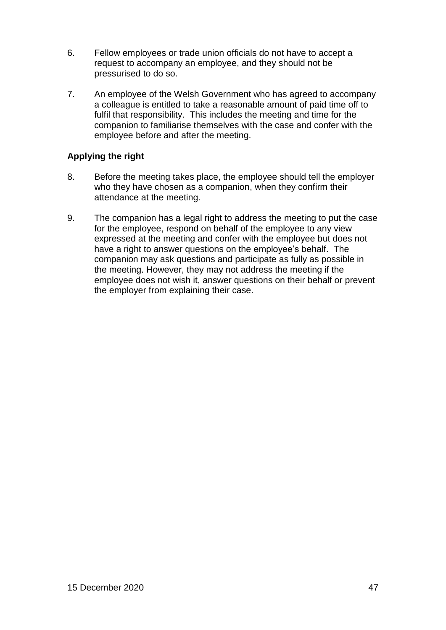- 6. Fellow employees or trade union officials do not have to accept a request to accompany an employee, and they should not be pressurised to do so.
- 7. An employee of the Welsh Government who has agreed to accompany a colleague is entitled to take a reasonable amount of paid time off to fulfil that responsibility. This includes the meeting and time for the companion to familiarise themselves with the case and confer with the employee before and after the meeting.

# **Applying the right**

- 8. Before the meeting takes place, the employee should tell the employer who they have chosen as a companion, when they confirm their attendance at the meeting.
- 9. The companion has a legal right to address the meeting to put the case for the employee, respond on behalf of the employee to any view expressed at the meeting and confer with the employee but does not have a right to answer questions on the employee's behalf. The companion may ask questions and participate as fully as possible in the meeting. However, they may not address the meeting if the employee does not wish it, answer questions on their behalf or prevent the employer from explaining their case.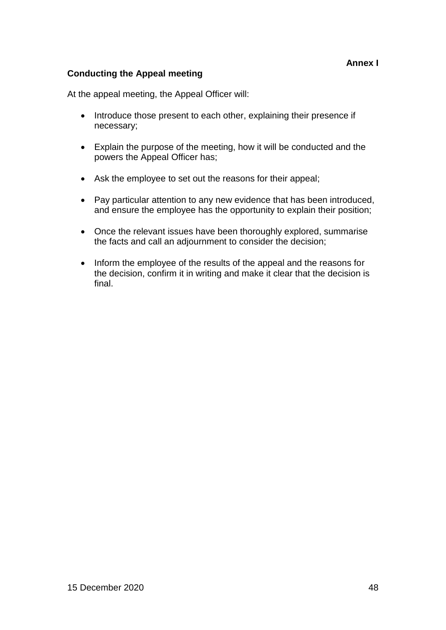# **Annex I**

# **Conducting the Appeal meeting**

At the appeal meeting, the Appeal Officer will:

- Introduce those present to each other, explaining their presence if necessary;
- Explain the purpose of the meeting, how it will be conducted and the powers the Appeal Officer has;
- Ask the employee to set out the reasons for their appeal;
- Pay particular attention to any new evidence that has been introduced, and ensure the employee has the opportunity to explain their position;
- Once the relevant issues have been thoroughly explored, summarise the facts and call an adjournment to consider the decision;
- Inform the employee of the results of the appeal and the reasons for the decision, confirm it in writing and make it clear that the decision is final.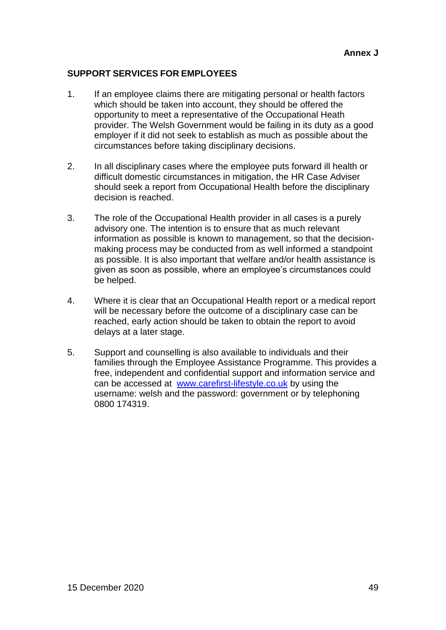# **SUPPORT SERVICES FOR EMPLOYEES**

- 1. If an employee claims there are mitigating personal or health factors which should be taken into account, they should be offered the opportunity to meet a representative of the Occupational Heath provider. The Welsh Government would be failing in its duty as a good employer if it did not seek to establish as much as possible about the circumstances before taking disciplinary decisions.
- 2. In all disciplinary cases where the employee puts forward ill health or difficult domestic circumstances in mitigation, the HR Case Adviser should seek a report from Occupational Health before the disciplinary decision is reached.
- 3. The role of the Occupational Health provider in all cases is a purely advisory one. The intention is to ensure that as much relevant information as possible is known to management, so that the decisionmaking process may be conducted from as well informed a standpoint as possible. It is also important that welfare and/or health assistance is given as soon as possible, where an employee's circumstances could be helped.
- 4. Where it is clear that an Occupational Health report or a medical report will be necessary before the outcome of a disciplinary case can be reached, early action should be taken to obtain the report to avoid delays at a later stage.
- 5. Support and counselling is also available to individuals and their families through the Employee Assistance Programme. This provides a free, independent and confidential support and information service and can be accessed at [www.carefirst-lifestyle.co.uk](http://www.carefirst-lifestyle.co.uk/) by using the username: welsh and the password: government or by telephoning 0800 174319.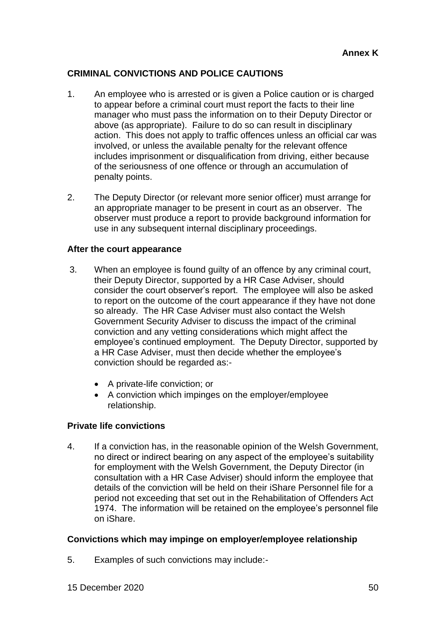# **CRIMINAL CONVICTIONS AND POLICE CAUTIONS**

- 1. An employee who is arrested or is given a Police caution or is charged to appear before a criminal court must report the facts to their line manager who must pass the information on to their Deputy Director or above (as appropriate). Failure to do so can result in disciplinary action. This does not apply to traffic offences unless an official car was involved, or unless the available penalty for the relevant offence includes imprisonment or disqualification from driving, either because of the seriousness of one offence or through an accumulation of penalty points.
- 2. The Deputy Director (or relevant more senior officer) must arrange for an appropriate manager to be present in court as an observer. The observer must produce a report to provide background information for use in any subsequent internal disciplinary proceedings.

#### **After the court appearance**

- 3. When an employee is found guilty of an offence by any criminal court, their Deputy Director, supported by a HR Case Adviser, should consider the court observer's report. The employee will also be asked to report on the outcome of the court appearance if they have not done so already. The HR Case Adviser must also contact the Welsh Government Security Adviser to discuss the impact of the criminal conviction and any vetting considerations which might affect the employee's continued employment. The Deputy Director, supported by a HR Case Adviser, must then decide whether the employee's conviction should be regarded as:-
	- A private-life conviction; or
	- A conviction which impinges on the employer/employee relationship.

#### **Private life convictions**

4. If a conviction has, in the reasonable opinion of the Welsh Government, no direct or indirect bearing on any aspect of the employee's suitability for employment with the Welsh Government, the Deputy Director (in consultation with a HR Case Adviser) should inform the employee that details of the conviction will be held on their iShare Personnel file for a period not exceeding that set out in the Rehabilitation of Offenders Act 1974. The information will be retained on the employee's personnel file on iShare.

#### **Convictions which may impinge on employer/employee relationship**

5. Examples of such convictions may include:-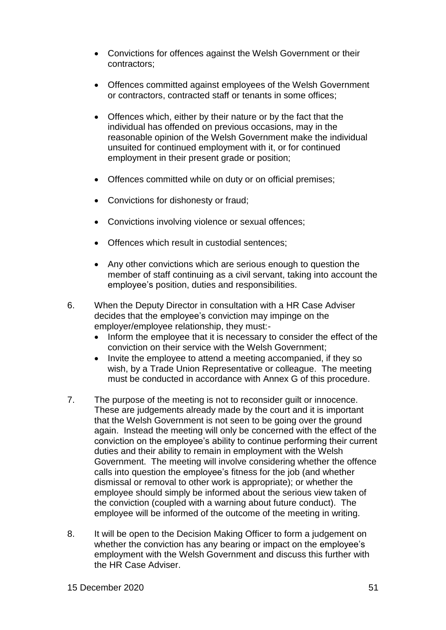- Convictions for offences against the Welsh Government or their contractors;
- Offences committed against employees of the Welsh Government or contractors, contracted staff or tenants in some offices;
- Offences which, either by their nature or by the fact that the individual has offended on previous occasions, may in the reasonable opinion of the Welsh Government make the individual unsuited for continued employment with it, or for continued employment in their present grade or position;
- Offences committed while on duty or on official premises;
- Convictions for dishonesty or fraud;
- Convictions involving violence or sexual offences;
- Offences which result in custodial sentences:
- Any other convictions which are serious enough to question the member of staff continuing as a civil servant, taking into account the employee's position, duties and responsibilities.
- 6. When the Deputy Director in consultation with a HR Case Adviser decides that the employee's conviction may impinge on the employer/employee relationship, they must:-
	- Inform the employee that it is necessary to consider the effect of the conviction on their service with the Welsh Government;
	- Invite the employee to attend a meeting accompanied, if they so wish, by a Trade Union Representative or colleague. The meeting must be conducted in accordance with Annex G of this procedure.
- 7. The purpose of the meeting is not to reconsider guilt or innocence. These are judgements already made by the court and it is important that the Welsh Government is not seen to be going over the ground again. Instead the meeting will only be concerned with the effect of the conviction on the employee's ability to continue performing their current duties and their ability to remain in employment with the Welsh Government. The meeting will involve considering whether the offence calls into question the employee's fitness for the job (and whether dismissal or removal to other work is appropriate); or whether the employee should simply be informed about the serious view taken of the conviction (coupled with a warning about future conduct). The employee will be informed of the outcome of the meeting in writing.
- 8. It will be open to the Decision Making Officer to form a judgement on whether the conviction has any bearing or impact on the employee's employment with the Welsh Government and discuss this further with the HR Case Adviser.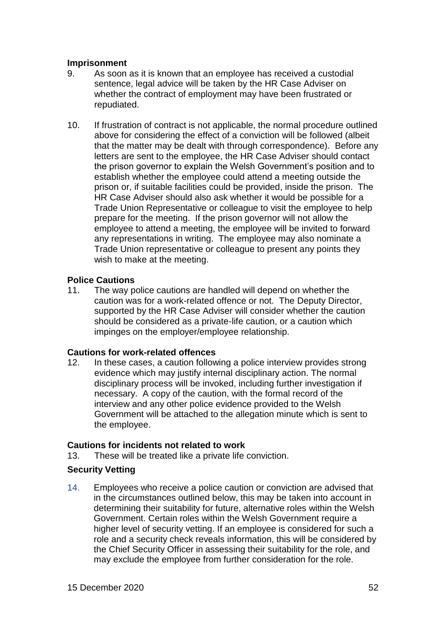#### **Imprisonment**

- 9. As soon as it is known that an employee has received a custodial sentence, legal advice will be taken by the HR Case Adviser on whether the contract of employment may have been frustrated or repudiated.
- 10. If frustration of contract is not applicable, the normal procedure outlined above for considering the effect of a conviction will be followed (albeit that the matter may be dealt with through correspondence). Before any letters are sent to the employee, the HR Case Adviser should contact the prison governor to explain the Welsh Government's position and to establish whether the employee could attend a meeting outside the prison or, if suitable facilities could be provided, inside the prison. The HR Case Adviser should also ask whether it would be possible for a Trade Union Representative or colleague to visit the employee to help prepare for the meeting. If the prison governor will not allow the employee to attend a meeting, the employee will be invited to forward any representations in writing. The employee may also nominate a Trade Union representative or colleague to present any points they wish to make at the meeting.

# **Police Cautions**

11. The way police cautions are handled will depend on whether the caution was for a work-related offence or not. The Deputy Director, supported by the HR Case Adviser will consider whether the caution should be considered as a private-life caution, or a caution which impinges on the employer/employee relationship.

# **Cautions for work-related offences**

12. In these cases, a caution following a police interview provides strong evidence which may justify internal disciplinary action. The normal disciplinary process will be invoked, including further investigation if necessary. A copy of the caution, with the formal record of the interview and any other police evidence provided to the Welsh Government will be attached to the allegation minute which is sent to the employee.

# **Cautions for incidents not related to work**

13. These will be treated like a private life conviction.

# **Security Vetting**

14. Employees who receive a police caution or conviction are advised that in the circumstances outlined below, this may be taken into account in determining their suitability for future, alternative roles within the Welsh Government. Certain roles within the Welsh Government require a higher level of security vetting. If an employee is considered for such a role and a security check reveals information, this will be considered by the Chief Security Officer in assessing their suitability for the role, and may exclude the employee from further consideration for the role.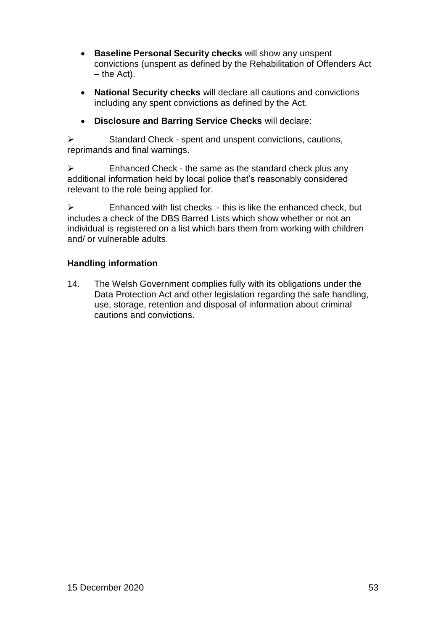- **Baseline Personal Security checks** will show any unspent convictions (unspent as defined by the Rehabilitation of Offenders Act – the Act).
- **National Security checks** will declare all cautions and convictions including any spent convictions as defined by the Act.
- **Disclosure and Barring Service Checks** will declare:

 $\triangleright$  Standard Check - spent and unspent convictions, cautions, reprimands and final warnings.

 $\triangleright$  Enhanced Check - the same as the standard check plus any additional information held by local police that's reasonably considered relevant to the role being applied for.

 $\triangleright$  Enhanced with list checks - this is like the enhanced check, but includes a check of the DBS Barred Lists which show whether or not an individual is registered on a list which bars them from working with children and/ or vulnerable adults.

# **Handling information**

14. The Welsh Government complies fully with its obligations under the Data Protection Act and other legislation regarding the safe handling, use, storage, retention and disposal of information about criminal cautions and convictions.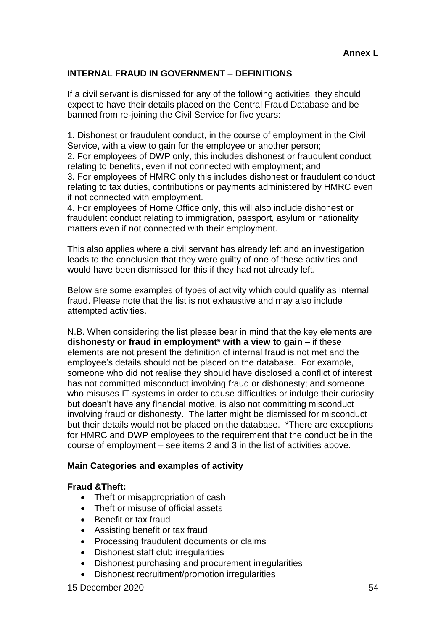# **INTERNAL FRAUD IN GOVERNMENT – DEFINITIONS**

If a civil servant is dismissed for any of the following activities, they should expect to have their details placed on the Central Fraud Database and be banned from re-joining the Civil Service for five years:

1. Dishonest or fraudulent conduct, in the course of employment in the Civil Service, with a view to gain for the employee or another person;

2. For employees of DWP only, this includes dishonest or fraudulent conduct relating to benefits, even if not connected with employment; and 3. For employees of HMRC only this includes dishonest or fraudulent conduct relating to tax duties, contributions or payments administered by HMRC even

if not connected with employment. 4. For employees of Home Office only, this will also include dishonest or fraudulent conduct relating to immigration, passport, asylum or nationality matters even if not connected with their employment.

This also applies where a civil servant has already left and an investigation leads to the conclusion that they were guilty of one of these activities and would have been dismissed for this if they had not already left.

Below are some examples of types of activity which could qualify as Internal fraud. Please note that the list is not exhaustive and may also include attempted activities.

N.B. When considering the list please bear in mind that the key elements are **dishonesty or fraud in employment\* with a view to gain** – if these elements are not present the definition of internal fraud is not met and the employee's details should not be placed on the database. For example, someone who did not realise they should have disclosed a conflict of interest has not committed misconduct involving fraud or dishonesty; and someone who misuses IT systems in order to cause difficulties or indulge their curiosity, but doesn't have any financial motive, is also not committing misconduct involving fraud or dishonesty. The latter might be dismissed for misconduct but their details would not be placed on the database. \*There are exceptions for HMRC and DWP employees to the requirement that the conduct be in the course of employment – see items 2 and 3 in the list of activities above.

#### **Main Categories and examples of activity**

#### **Fraud &Theft:**

- Theft or misappropriation of cash
- Theft or misuse of official assets
- Benefit or tax fraud
- Assisting benefit or tax fraud
- Processing fraudulent documents or claims
- Dishonest staff club irregularities
- Dishonest purchasing and procurement irregularities
- Dishonest recruitment/promotion irregularities

15 December 2020 54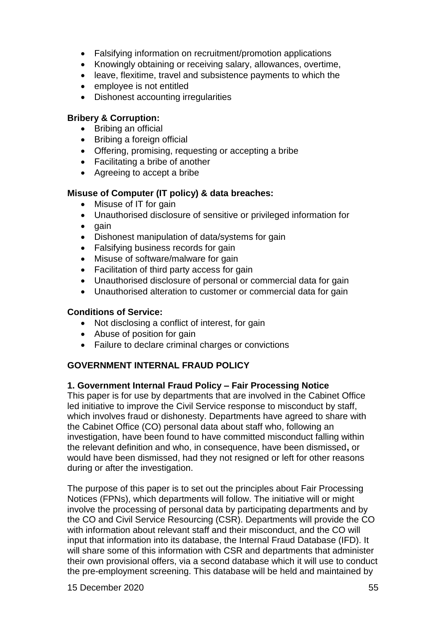- Falsifying information on recruitment/promotion applications
- Knowingly obtaining or receiving salary, allowances, overtime,
- leave, flexitime, travel and subsistence payments to which the
- employee is not entitled
- Dishonest accounting irregularities

### **Bribery & Corruption:**

- Bribing an official
- Bribing a foreign official
- Offering, promising, requesting or accepting a bribe
- Facilitating a bribe of another
- Agreeing to accept a bribe

# **Misuse of Computer (IT policy) & data breaches:**

- Misuse of IT for gain
- Unauthorised disclosure of sensitive or privileged information for
- $\bullet$  gain
- Dishonest manipulation of data/systems for gain
- Falsifying business records for gain
- Misuse of software/malware for gain
- Facilitation of third party access for gain
- Unauthorised disclosure of personal or commercial data for gain
- Unauthorised alteration to customer or commercial data for gain

# **Conditions of Service:**

- Not disclosing a conflict of interest, for gain
- Abuse of position for gain
- Failure to declare criminal charges or convictions

# **GOVERNMENT INTERNAL FRAUD POLICY**

#### **1. Government Internal Fraud Policy – Fair Processing Notice**

This paper is for use by departments that are involved in the Cabinet Office led initiative to improve the Civil Service response to misconduct by staff, which involves fraud or dishonesty. Departments have agreed to share with the Cabinet Office (CO) personal data about staff who, following an investigation, have been found to have committed misconduct falling within the relevant definition and who, in consequence, have been dismissed**,** or would have been dismissed, had they not resigned or left for other reasons during or after the investigation.

The purpose of this paper is to set out the principles about Fair Processing Notices (FPNs), which departments will follow. The initiative will or might involve the processing of personal data by participating departments and by the CO and Civil Service Resourcing (CSR). Departments will provide the CO with information about relevant staff and their misconduct, and the CO will input that information into its database, the Internal Fraud Database (IFD). It will share some of this information with CSR and departments that administer their own provisional offers, via a second database which it will use to conduct the pre-employment screening. This database will be held and maintained by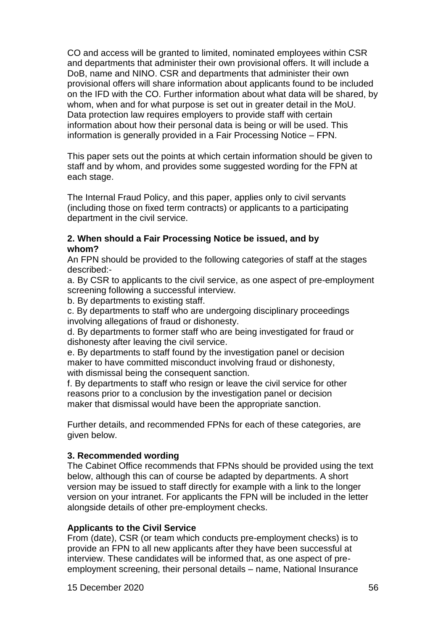CO and access will be granted to limited, nominated employees within CSR and departments that administer their own provisional offers. It will include a DoB, name and NINO. CSR and departments that administer their own provisional offers will share information about applicants found to be included on the IFD with the CO. Further information about what data will be shared, by whom, when and for what purpose is set out in greater detail in the MoU. Data protection law requires employers to provide staff with certain information about how their personal data is being or will be used. This information is generally provided in a Fair Processing Notice – FPN.

This paper sets out the points at which certain information should be given to staff and by whom, and provides some suggested wording for the FPN at each stage.

The Internal Fraud Policy, and this paper, applies only to civil servants (including those on fixed term contracts) or applicants to a participating department in the civil service.

#### **2. When should a Fair Processing Notice be issued, and by whom?**

An FPN should be provided to the following categories of staff at the stages described:-

a. By CSR to applicants to the civil service, as one aspect of pre-employment screening following a successful interview.

b. By departments to existing staff.

c. By departments to staff who are undergoing disciplinary proceedings involving allegations of fraud or dishonesty.

d. By departments to former staff who are being investigated for fraud or dishonesty after leaving the civil service.

e. By departments to staff found by the investigation panel or decision maker to have committed misconduct involving fraud or dishonesty, with dismissal being the consequent sanction.

f. By departments to staff who resign or leave the civil service for other reasons prior to a conclusion by the investigation panel or decision maker that dismissal would have been the appropriate sanction.

Further details, and recommended FPNs for each of these categories, are given below.

#### **3. Recommended wording**

The Cabinet Office recommends that FPNs should be provided using the text below, although this can of course be adapted by departments. A short version may be issued to staff directly for example with a link to the longer version on your intranet. For applicants the FPN will be included in the letter alongside details of other pre-employment checks.

#### **Applicants to the Civil Service**

From (date), CSR (or team which conducts pre-employment checks) is to provide an FPN to all new applicants after they have been successful at interview. These candidates will be informed that, as one aspect of preemployment screening, their personal details – name, National Insurance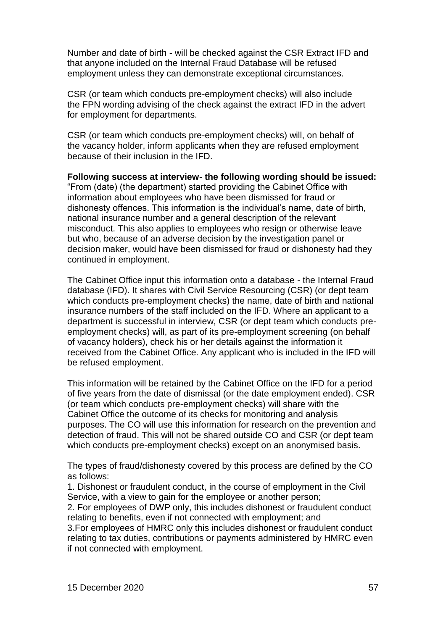Number and date of birth - will be checked against the CSR Extract IFD and that anyone included on the Internal Fraud Database will be refused employment unless they can demonstrate exceptional circumstances.

CSR (or team which conducts pre-employment checks) will also include the FPN wording advising of the check against the extract IFD in the advert for employment for departments.

CSR (or team which conducts pre-employment checks) will, on behalf of the vacancy holder, inform applicants when they are refused employment because of their inclusion in the IFD.

**Following success at interview- the following wording should be issued:** "From (date) (the department) started providing the Cabinet Office with information about employees who have been dismissed for fraud or dishonesty offences. This information is the individual's name, date of birth, national insurance number and a general description of the relevant misconduct. This also applies to employees who resign or otherwise leave but who, because of an adverse decision by the investigation panel or decision maker, would have been dismissed for fraud or dishonesty had they continued in employment.

The Cabinet Office input this information onto a database - the Internal Fraud database (IFD). It shares with Civil Service Resourcing (CSR) (or dept team which conducts pre-employment checks) the name, date of birth and national insurance numbers of the staff included on the IFD. Where an applicant to a department is successful in interview, CSR (or dept team which conducts preemployment checks) will, as part of its pre-employment screening (on behalf of vacancy holders), check his or her details against the information it received from the Cabinet Office. Any applicant who is included in the IFD will be refused employment.

This information will be retained by the Cabinet Office on the IFD for a period of five years from the date of dismissal (or the date employment ended). CSR (or team which conducts pre-employment checks) will share with the Cabinet Office the outcome of its checks for monitoring and analysis purposes. The CO will use this information for research on the prevention and detection of fraud. This will not be shared outside CO and CSR (or dept team which conducts pre-employment checks) except on an anonymised basis.

The types of fraud/dishonesty covered by this process are defined by the CO as follows:

1. Dishonest or fraudulent conduct, in the course of employment in the Civil Service, with a view to gain for the employee or another person:

2. For employees of DWP only, this includes dishonest or fraudulent conduct relating to benefits, even if not connected with employment; and

3.For employees of HMRC only this includes dishonest or fraudulent conduct relating to tax duties, contributions or payments administered by HMRC even if not connected with employment.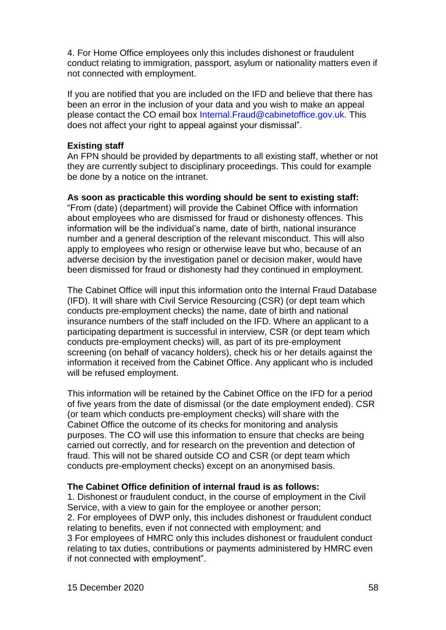4. For Home Office employees only this includes dishonest or fraudulent conduct relating to immigration, passport, asylum or nationality matters even if not connected with employment.

If you are notified that you are included on the IFD and believe that there has been an error in the inclusion of your data and you wish to make an appeal please contact the CO email box Internal.Fraud@cabinetoffice.gov.uk. This does not affect your right to appeal against your dismissal".

#### **Existing staff**

An FPN should be provided by departments to all existing staff, whether or not they are currently subject to disciplinary proceedings. This could for example be done by a notice on the intranet.

#### **As soon as practicable this wording should be sent to existing staff:**

"From (date) (department) will provide the Cabinet Office with information about employees who are dismissed for fraud or dishonesty offences. This information will be the individual's name, date of birth, national insurance number and a general description of the relevant misconduct. This will also apply to employees who resign or otherwise leave but who, because of an adverse decision by the investigation panel or decision maker, would have been dismissed for fraud or dishonesty had they continued in employment.

The Cabinet Office will input this information onto the Internal Fraud Database (IFD). It will share with Civil Service Resourcing (CSR) (or dept team which conducts pre-employment checks) the name, date of birth and national insurance numbers of the staff included on the IFD. Where an applicant to a participating department is successful in interview, CSR (or dept team which conducts pre-employment checks) will, as part of its pre-employment screening (on behalf of vacancy holders), check his or her details against the information it received from the Cabinet Office. Any applicant who is included will be refused employment.

This information will be retained by the Cabinet Office on the IFD for a period of five years from the date of dismissal (or the date employment ended). CSR (or team which conducts pre-employment checks) will share with the Cabinet Office the outcome of its checks for monitoring and analysis purposes. The CO will use this information to ensure that checks are being carried out correctly, and for research on the prevention and detection of fraud. This will not be shared outside CO and CSR (or dept team which conducts pre-employment checks) except on an anonymised basis.

#### **The Cabinet Office definition of internal fraud is as follows:**

1. Dishonest or fraudulent conduct, in the course of employment in the Civil Service, with a view to gain for the employee or another person; 2. For employees of DWP only, this includes dishonest or fraudulent conduct relating to benefits, even if not connected with employment; and 3 For employees of HMRC only this includes dishonest or fraudulent conduct relating to tax duties, contributions or payments administered by HMRC even if not connected with employment".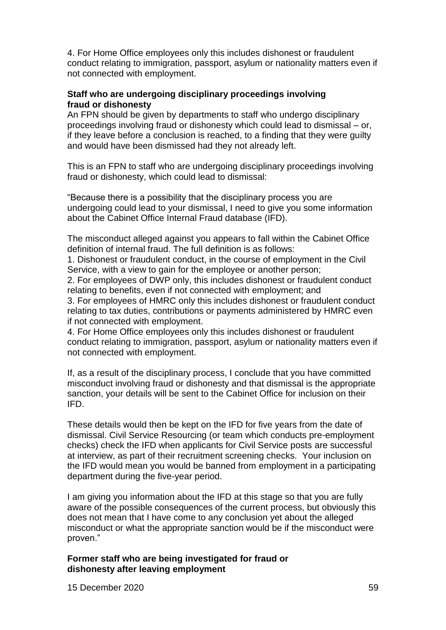4. For Home Office employees only this includes dishonest or fraudulent conduct relating to immigration, passport, asylum or nationality matters even if not connected with employment.

#### **Staff who are undergoing disciplinary proceedings involving fraud or dishonesty**

An FPN should be given by departments to staff who undergo disciplinary proceedings involving fraud or dishonesty which could lead to dismissal – or, if they leave before a conclusion is reached, to a finding that they were guilty and would have been dismissed had they not already left.

This is an FPN to staff who are undergoing disciplinary proceedings involving fraud or dishonesty, which could lead to dismissal:

"Because there is a possibility that the disciplinary process you are undergoing could lead to your dismissal, I need to give you some information about the Cabinet Office Internal Fraud database (IFD).

The misconduct alleged against you appears to fall within the Cabinet Office definition of internal fraud. The full definition is as follows:

1. Dishonest or fraudulent conduct, in the course of employment in the Civil Service, with a view to gain for the employee or another person;

2. For employees of DWP only, this includes dishonest or fraudulent conduct relating to benefits, even if not connected with employment; and

3. For employees of HMRC only this includes dishonest or fraudulent conduct relating to tax duties, contributions or payments administered by HMRC even if not connected with employment.

4. For Home Office employees only this includes dishonest or fraudulent conduct relating to immigration, passport, asylum or nationality matters even if not connected with employment.

If, as a result of the disciplinary process, I conclude that you have committed misconduct involving fraud or dishonesty and that dismissal is the appropriate sanction, your details will be sent to the Cabinet Office for inclusion on their IFD.

These details would then be kept on the IFD for five years from the date of dismissal. Civil Service Resourcing (or team which conducts pre-employment checks) check the IFD when applicants for Civil Service posts are successful at interview, as part of their recruitment screening checks. Your inclusion on the IFD would mean you would be banned from employment in a participating department during the five-year period.

I am giving you information about the IFD at this stage so that you are fully aware of the possible consequences of the current process, but obviously this does not mean that I have come to any conclusion yet about the alleged misconduct or what the appropriate sanction would be if the misconduct were proven."

#### **Former staff who are being investigated for fraud or dishonesty after leaving employment**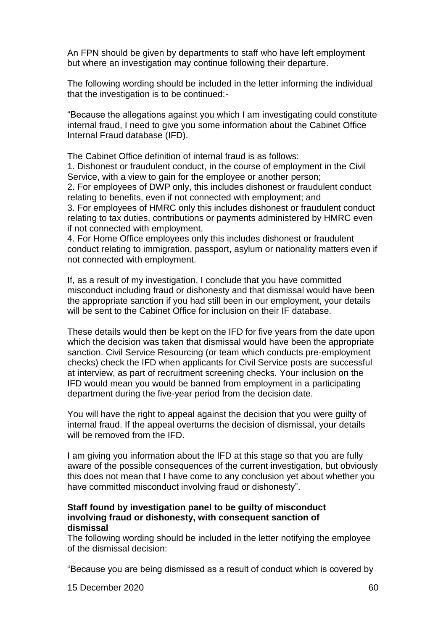An FPN should be given by departments to staff who have left employment but where an investigation may continue following their departure.

The following wording should be included in the letter informing the individual that the investigation is to be continued:-

"Because the allegations against you which I am investigating could constitute internal fraud, I need to give you some information about the Cabinet Office Internal Fraud database (IFD).

The Cabinet Office definition of internal fraud is as follows:

1. Dishonest or fraudulent conduct, in the course of employment in the Civil Service, with a view to gain for the employee or another person;

2. For employees of DWP only, this includes dishonest or fraudulent conduct relating to benefits, even if not connected with employment; and

3. For employees of HMRC only this includes dishonest or fraudulent conduct relating to tax duties, contributions or payments administered by HMRC even if not connected with employment.

4. For Home Office employees only this includes dishonest or fraudulent conduct relating to immigration, passport, asylum or nationality matters even if not connected with employment.

If, as a result of my investigation, I conclude that you have committed misconduct including fraud or dishonesty and that dismissal would have been the appropriate sanction if you had still been in our employment, your details will be sent to the Cabinet Office for inclusion on their IF database.

These details would then be kept on the IFD for five years from the date upon which the decision was taken that dismissal would have been the appropriate sanction. Civil Service Resourcing (or team which conducts pre-employment checks) check the IFD when applicants for Civil Service posts are successful at interview, as part of recruitment screening checks. Your inclusion on the IFD would mean you would be banned from employment in a participating department during the five-year period from the decision date.

You will have the right to appeal against the decision that you were guilty of internal fraud. If the appeal overturns the decision of dismissal, your details will be removed from the IFD.

I am giving you information about the IFD at this stage so that you are fully aware of the possible consequences of the current investigation, but obviously this does not mean that I have come to any conclusion yet about whether you have committed misconduct involving fraud or dishonesty".

#### **Staff found by investigation panel to be guilty of misconduct involving fraud or dishonesty, with consequent sanction of dismissal**

The following wording should be included in the letter notifying the employee of the dismissal decision:

"Because you are being dismissed as a result of conduct which is covered by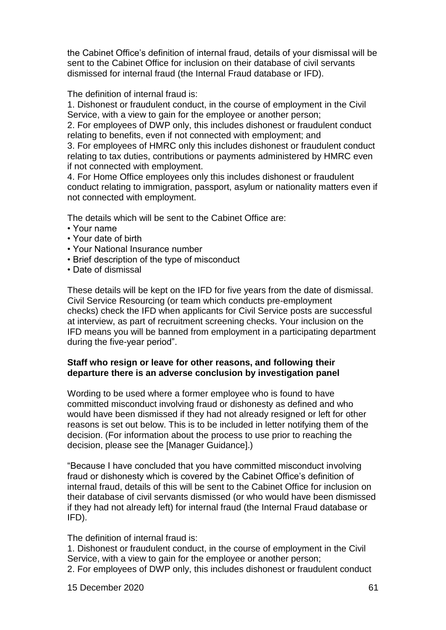the Cabinet Office's definition of internal fraud, details of your dismissal will be sent to the Cabinet Office for inclusion on their database of civil servants dismissed for internal fraud (the Internal Fraud database or IFD).

The definition of internal fraud is:

1. Dishonest or fraudulent conduct, in the course of employment in the Civil Service, with a view to gain for the employee or another person;

2. For employees of DWP only, this includes dishonest or fraudulent conduct relating to benefits, even if not connected with employment; and

3. For employees of HMRC only this includes dishonest or fraudulent conduct relating to tax duties, contributions or payments administered by HMRC even if not connected with employment.

4. For Home Office employees only this includes dishonest or fraudulent conduct relating to immigration, passport, asylum or nationality matters even if not connected with employment.

The details which will be sent to the Cabinet Office are:

- Your name
- Your date of birth
- Your National Insurance number
- Brief description of the type of misconduct
- Date of dismissal

These details will be kept on the IFD for five years from the date of dismissal. Civil Service Resourcing (or team which conducts pre-employment checks) check the IFD when applicants for Civil Service posts are successful at interview, as part of recruitment screening checks. Your inclusion on the IFD means you will be banned from employment in a participating department during the five-year period".

#### **Staff who resign or leave for other reasons, and following their departure there is an adverse conclusion by investigation panel**

Wording to be used where a former employee who is found to have committed misconduct involving fraud or dishonesty as defined and who would have been dismissed if they had not already resigned or left for other reasons is set out below. This is to be included in letter notifying them of the decision. (For information about the process to use prior to reaching the decision, please see the [Manager Guidance].)

"Because I have concluded that you have committed misconduct involving fraud or dishonesty which is covered by the Cabinet Office's definition of internal fraud, details of this will be sent to the Cabinet Office for inclusion on their database of civil servants dismissed (or who would have been dismissed if they had not already left) for internal fraud (the Internal Fraud database or IFD).

The definition of internal fraud is:

1. Dishonest or fraudulent conduct, in the course of employment in the Civil Service, with a view to gain for the employee or another person; 2. For employees of DWP only, this includes dishonest or fraudulent conduct